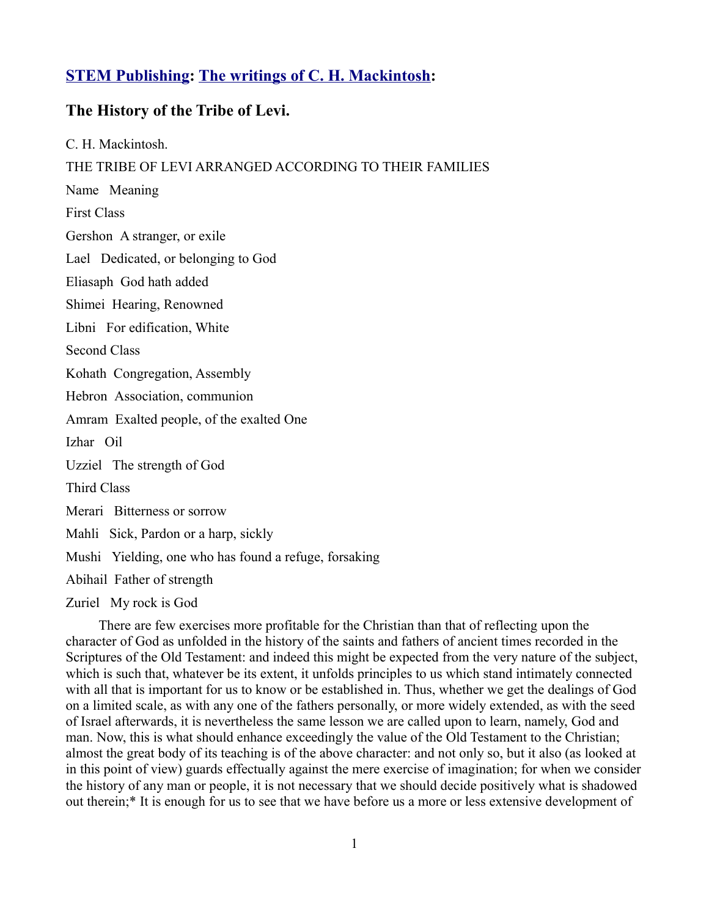## **[STEM Publishing:](http://www.stempublishing.com/) [The writings of C. H. Mackintosh:](http://www.stempublishing.com/authors/mackintosh/index.html)**

## **The History of the Tribe of Levi.**

C. H. Mackintosh. THE TRIBE OF LEVI ARRANGED ACCORDING TO THEIR FAMILIES Name Meaning First Class Gershon A stranger, or exile Lael Dedicated, or belonging to God Eliasaph God hath added Shimei Hearing, Renowned Libni For edification, White Second Class Kohath Congregation, Assembly Hebron Association, communion Amram Exalted people, of the exalted One Izhar Oil Uzziel The strength of God Third Class Merari Bitterness or sorrow Mahli Sick, Pardon or a harp, sickly Mushi Yielding, one who has found a refuge, forsaking Abihail Father of strength Zuriel My rock is God

There are few exercises more profitable for the Christian than that of reflecting upon the character of God as unfolded in the history of the saints and fathers of ancient times recorded in the Scriptures of the Old Testament: and indeed this might be expected from the very nature of the subject, which is such that, whatever be its extent, it unfolds principles to us which stand intimately connected with all that is important for us to know or be established in. Thus, whether we get the dealings of God on a limited scale, as with any one of the fathers personally, or more widely extended, as with the seed of Israel afterwards, it is nevertheless the same lesson we are called upon to learn, namely, God and man. Now, this is what should enhance exceedingly the value of the Old Testament to the Christian; almost the great body of its teaching is of the above character: and not only so, but it also (as looked at in this point of view) guards effectually against the mere exercise of imagination; for when we consider the history of any man or people, it is not necessary that we should decide positively what is shadowed out therein;\* It is enough for us to see that we have before us a more or less extensive development of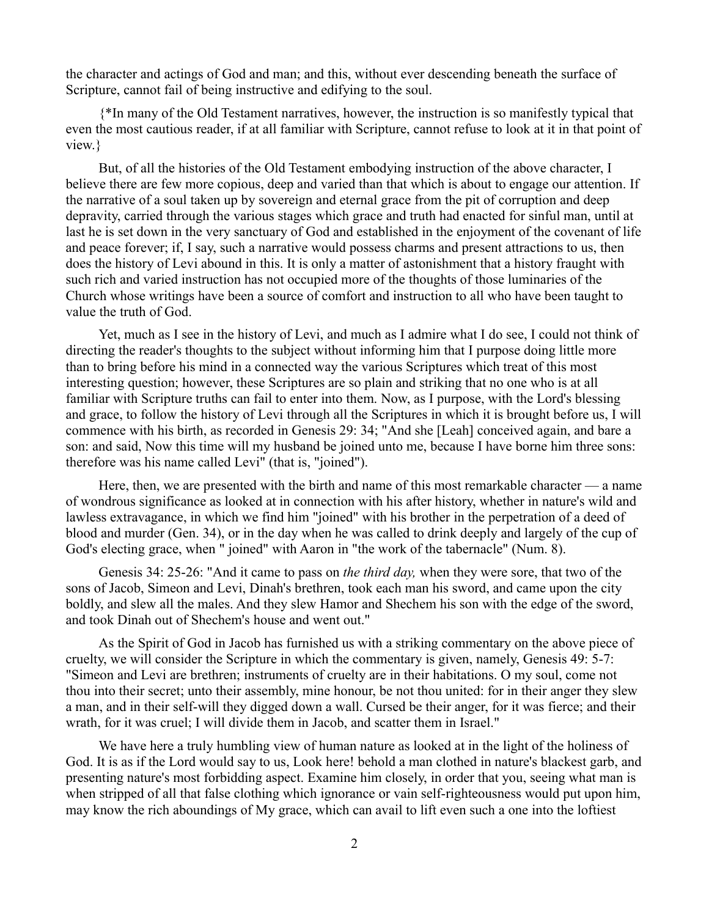the character and actings of God and man; and this, without ever descending beneath the surface of Scripture, cannot fail of being instructive and edifying to the soul.

{\*In many of the Old Testament narratives, however, the instruction is so manifestly typical that even the most cautious reader, if at all familiar with Scripture, cannot refuse to look at it in that point of view.}

But, of all the histories of the Old Testament embodying instruction of the above character, I believe there are few more copious, deep and varied than that which is about to engage our attention. If the narrative of a soul taken up by sovereign and eternal grace from the pit of corruption and deep depravity, carried through the various stages which grace and truth had enacted for sinful man, until at last he is set down in the very sanctuary of God and established in the enjoyment of the covenant of life and peace forever; if, I say, such a narrative would possess charms and present attractions to us, then does the history of Levi abound in this. It is only a matter of astonishment that a history fraught with such rich and varied instruction has not occupied more of the thoughts of those luminaries of the Church whose writings have been a source of comfort and instruction to all who have been taught to value the truth of God.

Yet, much as I see in the history of Levi, and much as I admire what I do see, I could not think of directing the reader's thoughts to the subject without informing him that I purpose doing little more than to bring before his mind in a connected way the various Scriptures which treat of this most interesting question; however, these Scriptures are so plain and striking that no one who is at all familiar with Scripture truths can fail to enter into them. Now, as I purpose, with the Lord's blessing and grace, to follow the history of Levi through all the Scriptures in which it is brought before us, I will commence with his birth, as recorded in Genesis 29: 34; "And she [Leah] conceived again, and bare a son: and said, Now this time will my husband be joined unto me, because I have borne him three sons: therefore was his name called Levi" (that is, "joined").

Here, then, we are presented with the birth and name of this most remarkable character — a name of wondrous significance as looked at in connection with his after history, whether in nature's wild and lawless extravagance, in which we find him "joined" with his brother in the perpetration of a deed of blood and murder (Gen. 34), or in the day when he was called to drink deeply and largely of the cup of God's electing grace, when " joined" with Aaron in "the work of the tabernacle" (Num. 8).

Genesis 34: 25-26: "And it came to pass on *the third day,* when they were sore, that two of the sons of Jacob, Simeon and Levi, Dinah's brethren, took each man his sword, and came upon the city boldly, and slew all the males. And they slew Hamor and Shechem his son with the edge of the sword, and took Dinah out of Shechem's house and went out."

As the Spirit of God in Jacob has furnished us with a striking commentary on the above piece of cruelty, we will consider the Scripture in which the commentary is given, namely, Genesis 49: 5-7: "Simeon and Levi are brethren; instruments of cruelty are in their habitations. O my soul, come not thou into their secret; unto their assembly, mine honour, be not thou united: for in their anger they slew a man, and in their self-will they digged down a wall. Cursed be their anger, for it was fierce; and their wrath, for it was cruel; I will divide them in Jacob, and scatter them in Israel."

We have here a truly humbling view of human nature as looked at in the light of the holiness of God. It is as if the Lord would say to us, Look here! behold a man clothed in nature's blackest garb, and presenting nature's most forbidding aspect. Examine him closely, in order that you, seeing what man is when stripped of all that false clothing which ignorance or vain self-righteousness would put upon him, may know the rich aboundings of My grace, which can avail to lift even such a one into the loftiest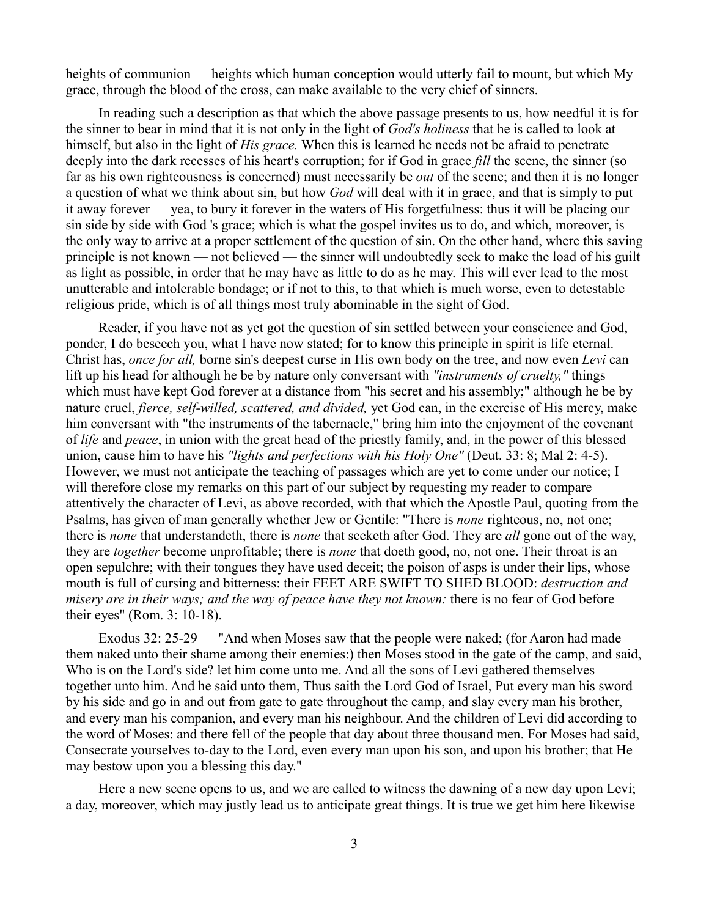heights of communion — heights which human conception would utterly fail to mount, but which My grace, through the blood of the cross, can make available to the very chief of sinners.

In reading such a description as that which the above passage presents to us, how needful it is for the sinner to bear in mind that it is not only in the light of *God's holiness* that he is called to look at himself, but also in the light of *His grace.* When this is learned he needs not be afraid to penetrate deeply into the dark recesses of his heart's corruption; for if God in grace *fill* the scene, the sinner (so far as his own righteousness is concerned) must necessarily be *out* of the scene; and then it is no longer a question of what we think about sin, but how *God* will deal with it in grace, and that is simply to put it away forever — yea, to bury it forever in the waters of His forgetfulness: thus it will be placing our sin side by side with God 's grace; which is what the gospel invites us to do, and which, moreover, is the only way to arrive at a proper settlement of the question of sin. On the other hand, where this saving principle is not known — not believed — the sinner will undoubtedly seek to make the load of his guilt as light as possible, in order that he may have as little to do as he may. This will ever lead to the most unutterable and intolerable bondage; or if not to this, to that which is much worse, even to detestable religious pride, which is of all things most truly abominable in the sight of God.

Reader, if you have not as yet got the question of sin settled between your conscience and God, ponder, I do beseech you, what I have now stated; for to know this principle in spirit is life eternal. Christ has, *once for all,* borne sin's deepest curse in His own body on the tree, and now even *Levi* can lift up his head for although he be by nature only conversant with *"instruments of cruelty,"* things which must have kept God forever at a distance from "his secret and his assembly;" although he be by nature cruel, *fierce, self-willed, scattered, and divided,* yet God can, in the exercise of His mercy, make him conversant with "the instruments of the tabernacle," bring him into the enjoyment of the covenant of *life* and *peace*, in union with the great head of the priestly family, and, in the power of this blessed union, cause him to have his *"lights and perfections with his Holy One"* (Deut. 33: 8; Mal 2: 4-5). However, we must not anticipate the teaching of passages which are yet to come under our notice; I will therefore close my remarks on this part of our subject by requesting my reader to compare attentively the character of Levi, as above recorded, with that which the Apostle Paul, quoting from the Psalms, has given of man generally whether Jew or Gentile: "There is *none* righteous, no, not one; there is *none* that understandeth, there is *none* that seeketh after God. They are *all* gone out of the way, they are *together* become unprofitable; there is *none* that doeth good, no, not one. Their throat is an open sepulchre; with their tongues they have used deceit; the poison of asps is under their lips, whose mouth is full of cursing and bitterness: their FEET ARE SWIFT TO SHED BLOOD: *destruction and misery are in their ways; and the way of peace have they not known:* there is no fear of God before their eyes" (Rom. 3: 10-18).

Exodus 32: 25-29 — "And when Moses saw that the people were naked; (for Aaron had made them naked unto their shame among their enemies:) then Moses stood in the gate of the camp, and said, Who is on the Lord's side? let him come unto me. And all the sons of Levi gathered themselves together unto him. And he said unto them, Thus saith the Lord God of Israel, Put every man his sword by his side and go in and out from gate to gate throughout the camp, and slay every man his brother, and every man his companion, and every man his neighbour. And the children of Levi did according to the word of Moses: and there fell of the people that day about three thousand men. For Moses had said, Consecrate yourselves to-day to the Lord, even every man upon his son, and upon his brother; that He may bestow upon you a blessing this day."

Here a new scene opens to us, and we are called to witness the dawning of a new day upon Levi; a day, moreover, which may justly lead us to anticipate great things. It is true we get him here likewise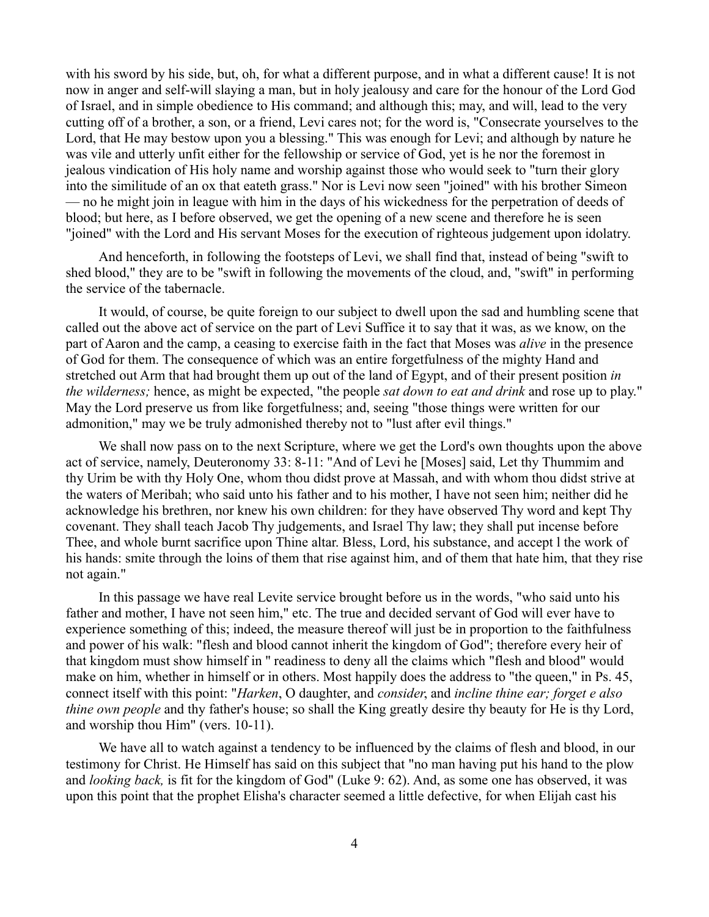with his sword by his side, but, oh, for what a different purpose, and in what a different cause! It is not now in anger and self-will slaying a man, but in holy jealousy and care for the honour of the Lord God of Israel, and in simple obedience to His command; and although this; may, and will, lead to the very cutting off of a brother, a son, or a friend, Levi cares not; for the word is, "Consecrate yourselves to the Lord, that He may bestow upon you a blessing." This was enough for Levi; and although by nature he was vile and utterly unfit either for the fellowship or service of God, yet is he nor the foremost in jealous vindication of His holy name and worship against those who would seek to "turn their glory into the similitude of an ox that eateth grass." Nor is Levi now seen "joined" with his brother Simeon — no he might join in league with him in the days of his wickedness for the perpetration of deeds of blood; but here, as I before observed, we get the opening of a new scene and therefore he is seen "joined" with the Lord and His servant Moses for the execution of righteous judgement upon idolatry.

And henceforth, in following the footsteps of Levi, we shall find that, instead of being "swift to shed blood," they are to be "swift in following the movements of the cloud, and, "swift" in performing the service of the tabernacle.

It would, of course, be quite foreign to our subject to dwell upon the sad and humbling scene that called out the above act of service on the part of Levi Suffice it to say that it was, as we know, on the part of Aaron and the camp, a ceasing to exercise faith in the fact that Moses was *alive* in the presence of God for them. The consequence of which was an entire forgetfulness of the mighty Hand and stretched out Arm that had brought them up out of the land of Egypt, and of their present position *in the wilderness;* hence, as might be expected, "the people *sat down to eat and drink* and rose up to play." May the Lord preserve us from like forgetfulness; and, seeing "those things were written for our admonition," may we be truly admonished thereby not to "lust after evil things."

We shall now pass on to the next Scripture, where we get the Lord's own thoughts upon the above act of service, namely, Deuteronomy 33: 8-11: "And of Levi he [Moses] said, Let thy Thummim and thy Urim be with thy Holy One, whom thou didst prove at Massah, and with whom thou didst strive at the waters of Meribah; who said unto his father and to his mother, I have not seen him; neither did he acknowledge his brethren, nor knew his own children: for they have observed Thy word and kept Thy covenant. They shall teach Jacob Thy judgements, and Israel Thy law; they shall put incense before Thee, and whole burnt sacrifice upon Thine altar. Bless, Lord, his substance, and accept l the work of his hands: smite through the loins of them that rise against him, and of them that hate him, that they rise not again."

In this passage we have real Levite service brought before us in the words, "who said unto his father and mother, I have not seen him," etc. The true and decided servant of God will ever have to experience something of this; indeed, the measure thereof will just be in proportion to the faithfulness and power of his walk: "flesh and blood cannot inherit the kingdom of God"; therefore every heir of that kingdom must show himself in '' readiness to deny all the claims which "flesh and blood" would make on him, whether in himself or in others. Most happily does the address to "the queen," in Ps. 45, connect itself with this point: "*Harken*, O daughter, and *consider*, and *incline thine ear; forget e also thine own people* and thy father's house; so shall the King greatly desire thy beauty for He is thy Lord, and worship thou Him" (vers. 10-11).

We have all to watch against a tendency to be influenced by the claims of flesh and blood, in our testimony for Christ. He Himself has said on this subject that "no man having put his hand to the plow and *looking back,* is fit for the kingdom of God" (Luke 9: 62). And, as some one has observed, it was upon this point that the prophet Elisha's character seemed a little defective, for when Elijah cast his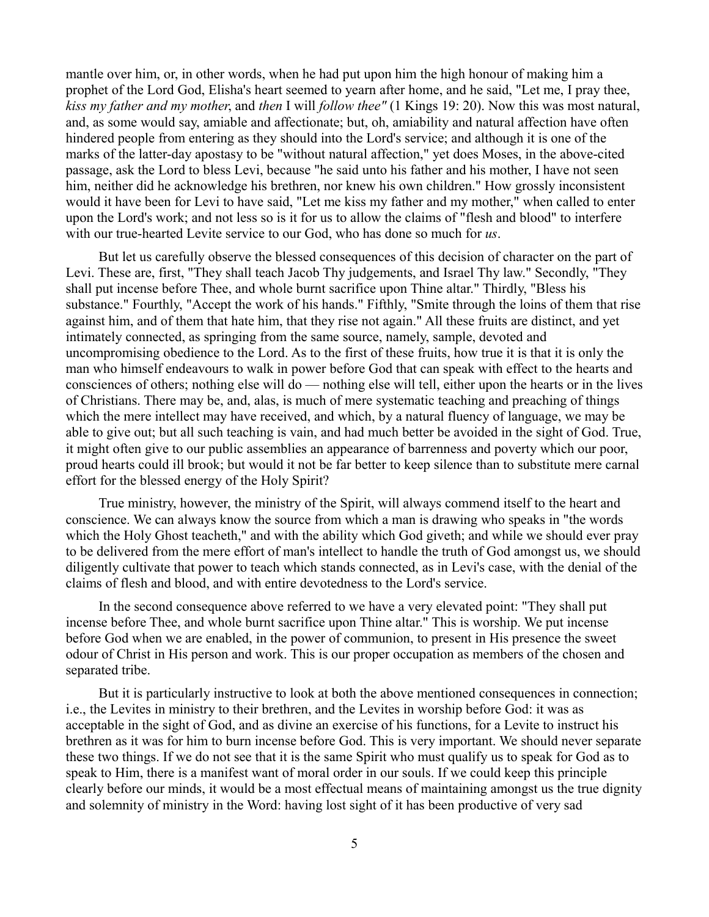mantle over him, or, in other words, when he had put upon him the high honour of making him a prophet of the Lord God, Elisha's heart seemed to yearn after home, and he said, "Let me, I pray thee, *kiss my father and my mother*, and *then* I will *follow thee"* (1 Kings 19: 20). Now this was most natural, and, as some would say, amiable and affectionate; but, oh, amiability and natural affection have often hindered people from entering as they should into the Lord's service; and although it is one of the marks of the latter-day apostasy to be "without natural affection," yet does Moses, in the above-cited passage, ask the Lord to bless Levi, because "he said unto his father and his mother, I have not seen him, neither did he acknowledge his brethren, nor knew his own children." How grossly inconsistent would it have been for Levi to have said, "Let me kiss my father and my mother," when called to enter upon the Lord's work; and not less so is it for us to allow the claims of "flesh and blood" to interfere with our true-hearted Levite service to our God, who has done so much for *us*.

But let us carefully observe the blessed consequences of this decision of character on the part of Levi. These are, first, "They shall teach Jacob Thy judgements, and Israel Thy law." Secondly, "They shall put incense before Thee, and whole burnt sacrifice upon Thine altar." Thirdly, "Bless his substance." Fourthly, "Accept the work of his hands." Fifthly, "Smite through the loins of them that rise against him, and of them that hate him, that they rise not again." All these fruits are distinct, and yet intimately connected, as springing from the same source, namely, sample, devoted and uncompromising obedience to the Lord. As to the first of these fruits, how true it is that it is only the man who himself endeavours to walk in power before God that can speak with effect to the hearts and consciences of others; nothing else will do — nothing else will tell, either upon the hearts or in the lives of Christians. There may be, and, alas, is much of mere systematic teaching and preaching of things which the mere intellect may have received, and which, by a natural fluency of language, we may be able to give out; but all such teaching is vain, and had much better be avoided in the sight of God. True, it might often give to our public assemblies an appearance of barrenness and poverty which our poor, proud hearts could ill brook; but would it not be far better to keep silence than to substitute mere carnal effort for the blessed energy of the Holy Spirit?

True ministry, however, the ministry of the Spirit, will always commend itself to the heart and conscience. We can always know the source from which a man is drawing who speaks in "the words which the Holy Ghost teacheth," and with the ability which God giveth; and while we should ever pray to be delivered from the mere effort of man's intellect to handle the truth of God amongst us, we should diligently cultivate that power to teach which stands connected, as in Levi's case, with the denial of the claims of flesh and blood, and with entire devotedness to the Lord's service.

In the second consequence above referred to we have a very elevated point: "They shall put incense before Thee, and whole burnt sacrifice upon Thine altar." This is worship. We put incense before God when we are enabled, in the power of communion, to present in His presence the sweet odour of Christ in His person and work. This is our proper occupation as members of the chosen and separated tribe.

But it is particularly instructive to look at both the above mentioned consequences in connection; i.e., the Levites in ministry to their brethren, and the Levites in worship before God: it was as acceptable in the sight of God, and as divine an exercise of his functions, for a Levite to instruct his brethren as it was for him to burn incense before God. This is very important. We should never separate these two things. If we do not see that it is the same Spirit who must qualify us to speak for God as to speak to Him, there is a manifest want of moral order in our souls. If we could keep this principle clearly before our minds, it would be a most effectual means of maintaining amongst us the true dignity and solemnity of ministry in the Word: having lost sight of it has been productive of very sad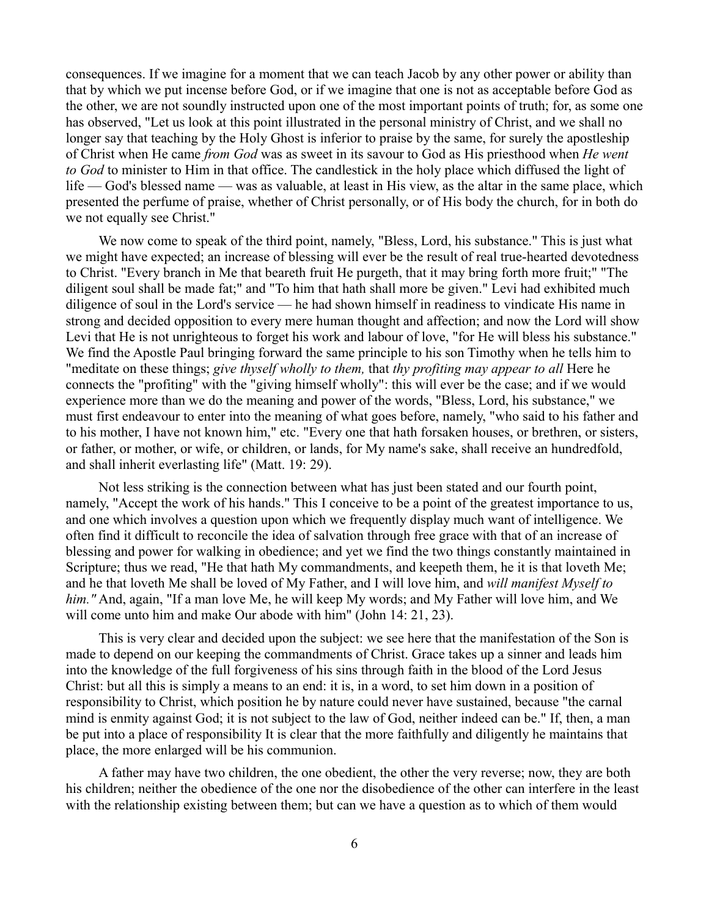consequences. If we imagine for a moment that we can teach Jacob by any other power or ability than that by which we put incense before God, or if we imagine that one is not as acceptable before God as the other, we are not soundly instructed upon one of the most important points of truth; for, as some one has observed, "Let us look at this point illustrated in the personal ministry of Christ, and we shall no longer say that teaching by the Holy Ghost is inferior to praise by the same, for surely the apostleship of Christ when He came *from God* was as sweet in its savour to God as His priesthood when *He went to God* to minister to Him in that office. The candlestick in the holy place which diffused the light of life — God's blessed name — was as valuable, at least in His view, as the altar in the same place, which presented the perfume of praise, whether of Christ personally, or of His body the church, for in both do we not equally see Christ."

We now come to speak of the third point, namely, "Bless, Lord, his substance." This is just what we might have expected; an increase of blessing will ever be the result of real true-hearted devotedness to Christ. "Every branch in Me that beareth fruit He purgeth, that it may bring forth more fruit;" "The diligent soul shall be made fat;" and "To him that hath shall more be given." Levi had exhibited much diligence of soul in the Lord's service — he had shown himself in readiness to vindicate His name in strong and decided opposition to every mere human thought and affection; and now the Lord will show Levi that He is not unrighteous to forget his work and labour of love, "for He will bless his substance." We find the Apostle Paul bringing forward the same principle to his son Timothy when he tells him to "meditate on these things; *give thyself wholly to them,* that *thy profiting may appear to all* Here he connects the "profiting" with the "giving himself wholly": this will ever be the case; and if we would experience more than we do the meaning and power of the words, "Bless, Lord, his substance," we must first endeavour to enter into the meaning of what goes before, namely, "who said to his father and to his mother, I have not known him," etc. "Every one that hath forsaken houses, or brethren, or sisters, or father, or mother, or wife, or children, or lands, for My name's sake, shall receive an hundredfold, and shall inherit everlasting life" (Matt. 19: 29).

Not less striking is the connection between what has just been stated and our fourth point, namely, "Accept the work of his hands." This I conceive to be a point of the greatest importance to us, and one which involves a question upon which we frequently display much want of intelligence. We often find it difficult to reconcile the idea of salvation through free grace with that of an increase of blessing and power for walking in obedience; and yet we find the two things constantly maintained in Scripture; thus we read, "He that hath My commandments, and keepeth them, he it is that loveth Me; and he that loveth Me shall be loved of My Father, and I will love him, and *will manifest Myself to him."* And, again, "If a man love Me, he will keep My words; and My Father will love him, and We will come unto him and make Our abode with him" (John 14: 21, 23).

This is very clear and decided upon the subject: we see here that the manifestation of the Son is made to depend on our keeping the commandments of Christ. Grace takes up a sinner and leads him into the knowledge of the full forgiveness of his sins through faith in the blood of the Lord Jesus Christ: but all this is simply a means to an end: it is, in a word, to set him down in a position of responsibility to Christ, which position he by nature could never have sustained, because "the carnal mind is enmity against God; it is not subject to the law of God, neither indeed can be." If, then, a man be put into a place of responsibility It is clear that the more faithfully and diligently he maintains that place, the more enlarged will be his communion.

A father may have two children, the one obedient, the other the very reverse; now, they are both his children; neither the obedience of the one nor the disobedience of the other can interfere in the least with the relationship existing between them; but can we have a question as to which of them would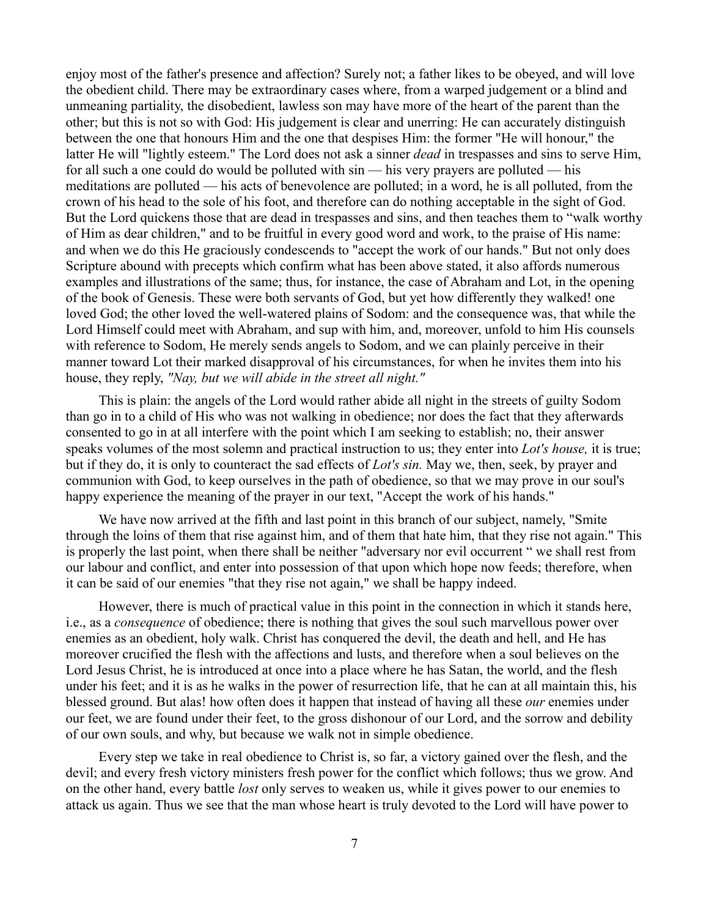enjoy most of the father's presence and affection? Surely not; a father likes to be obeyed, and will love the obedient child. There may be extraordinary cases where, from a warped judgement or a blind and unmeaning partiality, the disobedient, lawless son may have more of the heart of the parent than the other; but this is not so with God: His judgement is clear and unerring: He can accurately distinguish between the one that honours Him and the one that despises Him: the former "He will honour," the latter He will "lightly esteem." The Lord does not ask a sinner *dead* in trespasses and sins to serve Him, for all such a one could do would be polluted with sin — his very prayers are polluted — his meditations are polluted — his acts of benevolence are polluted; in a word, he is all polluted, from the crown of his head to the sole of his foot, and therefore can do nothing acceptable in the sight of God. But the Lord quickens those that are dead in trespasses and sins, and then teaches them to "walk worthy of Him as dear children," and to be fruitful in every good word and work, to the praise of His name: and when we do this He graciously condescends to "accept the work of our hands." But not only does Scripture abound with precepts which confirm what has been above stated, it also affords numerous examples and illustrations of the same; thus, for instance, the case of Abraham and Lot, in the opening of the book of Genesis. These were both servants of God, but yet how differently they walked! one loved God; the other loved the well-watered plains of Sodom: and the consequence was, that while the Lord Himself could meet with Abraham, and sup with him, and, moreover, unfold to him His counsels with reference to Sodom, He merely sends angels to Sodom, and we can plainly perceive in their manner toward Lot their marked disapproval of his circumstances, for when he invites them into his house, they reply, *"Nay, but we will abide in the street all night."* 

This is plain: the angels of the Lord would rather abide all night in the streets of guilty Sodom than go in to a child of His who was not walking in obedience; nor does the fact that they afterwards consented to go in at all interfere with the point which I am seeking to establish; no, their answer speaks volumes of the most solemn and practical instruction to us; they enter into *Lot's house,* it is true; but if they do, it is only to counteract the sad effects of *Lot's sin.* May we, then, seek, by prayer and communion with God, to keep ourselves in the path of obedience, so that we may prove in our soul's happy experience the meaning of the prayer in our text, "Accept the work of his hands."

We have now arrived at the fifth and last point in this branch of our subject, namely, "Smite" through the loins of them that rise against him, and of them that hate him, that they rise not again." This is properly the last point, when there shall be neither "adversary nor evil occurrent " we shall rest from our labour and conflict, and enter into possession of that upon which hope now feeds; therefore, when it can be said of our enemies "that they rise not again," we shall be happy indeed.

However, there is much of practical value in this point in the connection in which it stands here, i.e., as a *consequence* of obedience; there is nothing that gives the soul such marvellous power over enemies as an obedient, holy walk. Christ has conquered the devil, the death and hell, and He has moreover crucified the flesh with the affections and lusts, and therefore when a soul believes on the Lord Jesus Christ, he is introduced at once into a place where he has Satan, the world, and the flesh under his feet; and it is as he walks in the power of resurrection life, that he can at all maintain this, his blessed ground. But alas! how often does it happen that instead of having all these *our* enemies under our feet, we are found under their feet, to the gross dishonour of our Lord, and the sorrow and debility of our own souls, and why, but because we walk not in simple obedience.

Every step we take in real obedience to Christ is, so far, a victory gained over the flesh, and the devil; and every fresh victory ministers fresh power for the conflict which follows; thus we grow. And on the other hand, every battle *lost* only serves to weaken us, while it gives power to our enemies to attack us again. Thus we see that the man whose heart is truly devoted to the Lord will have power to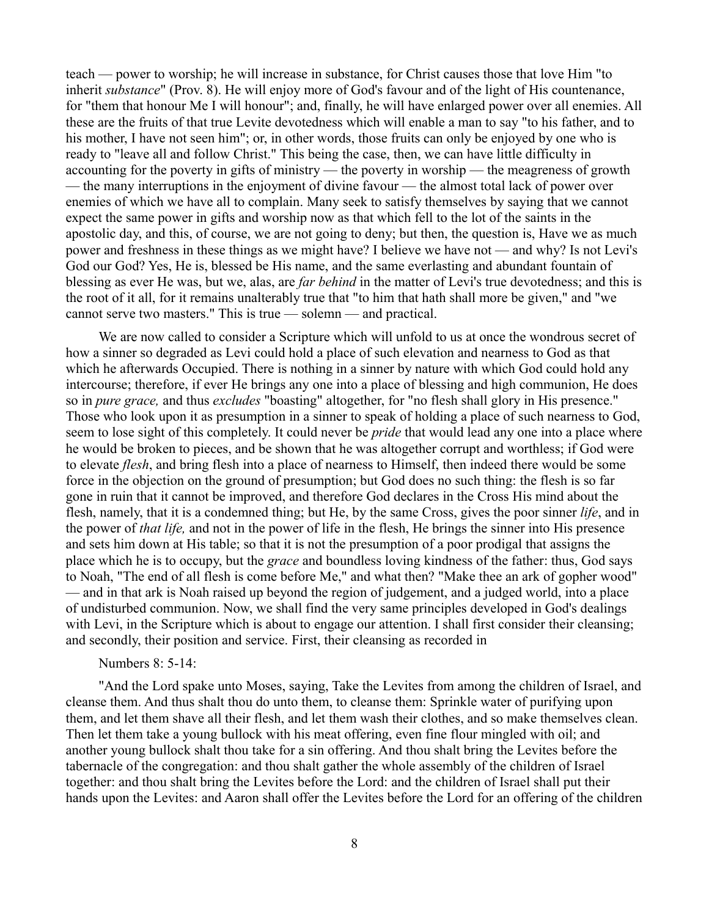teach — power to worship; he will increase in substance, for Christ causes those that love Him "to inherit *substance*" (Prov. 8). He will enjoy more of God's favour and of the light of His countenance, for "them that honour Me I will honour"; and, finally, he will have enlarged power over all enemies. All these are the fruits of that true Levite devotedness which will enable a man to say "to his father, and to his mother, I have not seen him"; or, in other words, those fruits can only be enjoyed by one who is ready to "leave all and follow Christ." This being the case, then, we can have little difficulty in accounting for the poverty in gifts of ministry — the poverty in worship — the meagreness of growth — the many interruptions in the enjoyment of divine favour — the almost total lack of power over enemies of which we have all to complain. Many seek to satisfy themselves by saying that we cannot expect the same power in gifts and worship now as that which fell to the lot of the saints in the apostolic day, and this, of course, we are not going to deny; but then, the question is, Have we as much power and freshness in these things as we might have? I believe we have not — and why? Is not Levi's God our God? Yes, He is, blessed be His name, and the same everlasting and abundant fountain of blessing as ever He was, but we, alas, are *far behind* in the matter of Levi's true devotedness; and this is the root of it all, for it remains unalterably true that "to him that hath shall more be given," and "we cannot serve two masters." This is true — solemn — and practical.

We are now called to consider a Scripture which will unfold to us at once the wondrous secret of how a sinner so degraded as Levi could hold a place of such elevation and nearness to God as that which he afterwards Occupied. There is nothing in a sinner by nature with which God could hold any intercourse; therefore, if ever He brings any one into a place of blessing and high communion, He does so in *pure grace,* and thus *excludes* "boasting" altogether, for "no flesh shall glory in His presence." Those who look upon it as presumption in a sinner to speak of holding a place of such nearness to God, seem to lose sight of this completely. It could never be *pride* that would lead any one into a place where he would be broken to pieces, and be shown that he was altogether corrupt and worthless; if God were to elevate *flesh*, and bring flesh into a place of nearness to Himself, then indeed there would be some force in the objection on the ground of presumption; but God does no such thing: the flesh is so far gone in ruin that it cannot be improved, and therefore God declares in the Cross His mind about the flesh, namely, that it is a condemned thing; but He, by the same Cross, gives the poor sinner *life*, and in the power of *that life,* and not in the power of life in the flesh, He brings the sinner into His presence and sets him down at His table; so that it is not the presumption of a poor prodigal that assigns the place which he is to occupy, but the *grace* and boundless loving kindness of the father: thus, God says to Noah, "The end of all flesh is come before Me," and what then? "Make thee an ark of gopher wood" — and in that ark is Noah raised up beyond the region of judgement, and a judged world, into a place of undisturbed communion. Now, we shall find the very same principles developed in God's dealings with Levi, in the Scripture which is about to engage our attention. I shall first consider their cleansing; and secondly, their position and service. First, their cleansing as recorded in

## Numbers 8: 5-14:

"And the Lord spake unto Moses, saying, Take the Levites from among the children of Israel, and cleanse them. And thus shalt thou do unto them, to cleanse them: Sprinkle water of purifying upon them, and let them shave all their flesh, and let them wash their clothes, and so make themselves clean. Then let them take a young bullock with his meat offering, even fine flour mingled with oil; and another young bullock shalt thou take for a sin offering. And thou shalt bring the Levites before the tabernacle of the congregation: and thou shalt gather the whole assembly of the children of Israel together: and thou shalt bring the Levites before the Lord: and the children of Israel shall put their hands upon the Levites: and Aaron shall offer the Levites before the Lord for an offering of the children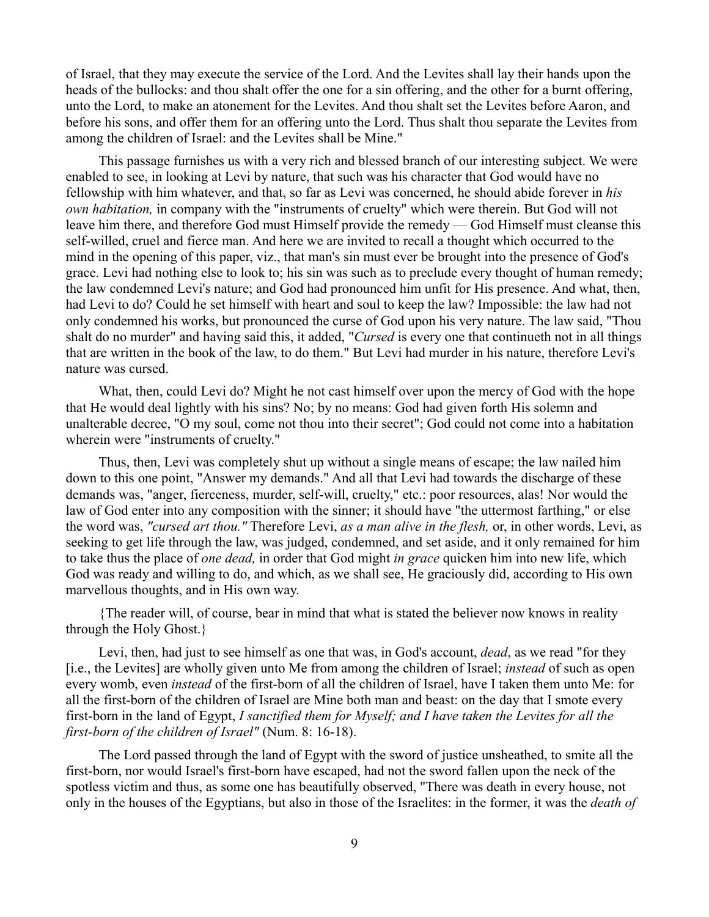of Israel, that they may execute the service of the Lord. And the Levites shall lay their hands upon the heads of the bullocks: and thou shalt offer the one for a sin offering, and the other for a burnt offering, unto the Lord, to make an atonement for the Levites. And thou shalt set the Levites before Aaron, and before his sons, and offer them for an offering unto the Lord. Thus shalt thou separate the Levites from among the children of Israel: and the Levites shall be Mine."

This passage furnishes us with a very rich and blessed branch of our interesting subject. We were enabled to see, in looking at Levi by nature, that such was his character that God would have no fellowship with him whatever, and that, so far as Levi was concerned, he should abide forever in *his own habitation,* in company with the "instruments of cruelty" which were therein. But God will not leave him there, and therefore God must Himself provide the remedy — God Himself must cleanse this self-willed, cruel and fierce man. And here we are invited to recall a thought which occurred to the mind in the opening of this paper, viz., that man's sin must ever be brought into the presence of God's grace. Levi had nothing else to look to; his sin was such as to preclude every thought of human remedy; the law condemned Levi's nature; and God had pronounced him unfit for His presence. And what, then, had Levi to do? Could he set himself with heart and soul to keep the law? Impossible: the law had not only condemned his works, but pronounced the curse of God upon his very nature. The law said, "Thou shalt do no murder" and having said this, it added, "*Cursed* is every one that continueth not in all things that are written in the book of the law, to do them." But Levi had murder in his nature, therefore Levi's nature was cursed.

What, then, could Levi do? Might he not cast himself over upon the mercy of God with the hope that He would deal lightly with his sins? No; by no means: God had given forth His solemn and unalterable decree, "O my soul, come not thou into their secret"; God could not come into a habitation wherein were "instruments of cruelty."

Thus, then, Levi was completely shut up without a single means of escape; the law nailed him down to this one point, "Answer my demands." And all that Levi had towards the discharge of these demands was, "anger, fierceness, murder, self-will, cruelty," etc.: poor resources, alas! Nor would the law of God enter into any composition with the sinner; it should have "the uttermost farthing," or else the word was, *"cursed art thou."* Therefore Levi, *as a man alive in the flesh,* or, in other words, Levi, as seeking to get life through the law, was judged, condemned, and set aside, and it only remained for him to take thus the place of *one dead,* in order that God might *in grace* quicken him into new life, which God was ready and willing to do, and which, as we shall see, He graciously did, according to His own marvellous thoughts, and in His own way.

{The reader will, of course, bear in mind that what is stated the believer now knows in reality through the Holy Ghost.}

Levi, then, had just to see himself as one that was, in God's account, *dead*, as we read "for they [i.e., the Levites] are wholly given unto Me from among the children of Israel; *instead* of such as open every womb, even *instead* of the first-born of all the children of Israel, have I taken them unto Me: for all the first-born of the children of Israel are Mine both man and beast: on the day that I smote every first-born in the land of Egypt, *I sanctified them for Myself; and I have taken the Levites for all the first-born of the children of Israel"* (Num. 8: 16-18).

The Lord passed through the land of Egypt with the sword of justice unsheathed, to smite all the first-born, nor would Israel's first-born have escaped, had not the sword fallen upon the neck of the spotless victim and thus, as some one has beautifully observed, "There was death in every house, not only in the houses of the Egyptians, but also in those of the Israelites: in the former, it was the *death of*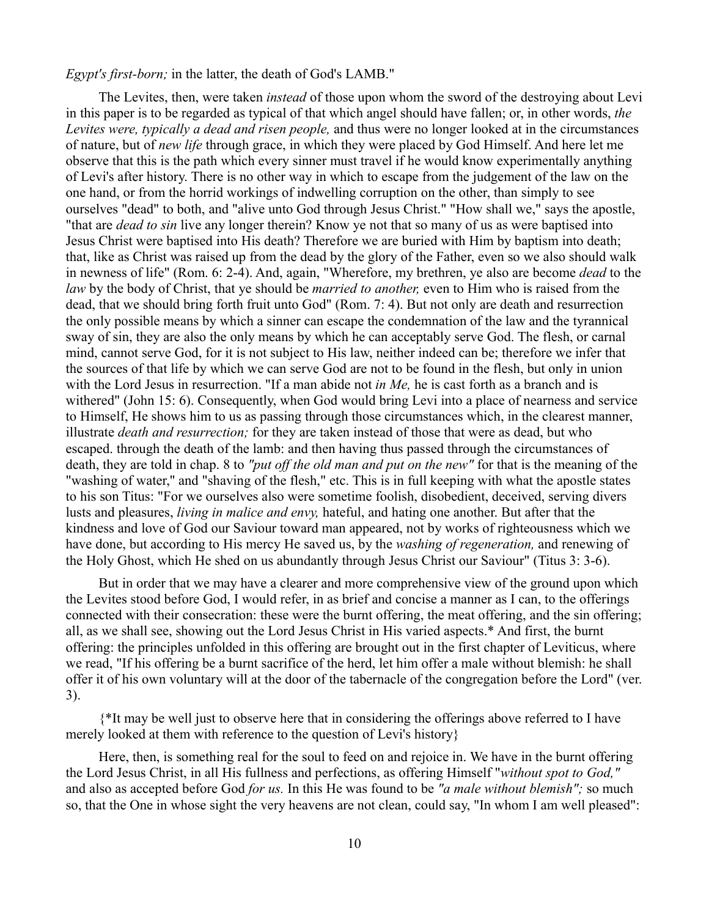*Egypt's first-born;* in the latter, the death of God's LAMB."

The Levites, then, were taken *instead* of those upon whom the sword of the destroying about Levi in this paper is to be regarded as typical of that which angel should have fallen; or, in other words, *the Levites were, typically a dead and risen people,* and thus were no longer looked at in the circumstances of nature, but of *new life* through grace, in which they were placed by God Himself. And here let me observe that this is the path which every sinner must travel if he would know experimentally anything of Levi's after history. There is no other way in which to escape from the judgement of the law on the one hand, or from the horrid workings of indwelling corruption on the other, than simply to see ourselves "dead" to both, and "alive unto God through Jesus Christ." "How shall we," says the apostle, "that are *dead to sin* live any longer therein? Know ye not that so many of us as were baptised into Jesus Christ were baptised into His death? Therefore we are buried with Him by baptism into death; that, like as Christ was raised up from the dead by the glory of the Father, even so we also should walk in newness of life" (Rom. 6: 2-4). And, again, "Wherefore, my brethren, ye also are become *dead* to the *law* by the body of Christ, that ye should be *married to another,* even to Him who is raised from the dead, that we should bring forth fruit unto God" (Rom. 7: 4). But not only are death and resurrection the only possible means by which a sinner can escape the condemnation of the law and the tyrannical sway of sin, they are also the only means by which he can acceptably serve God. The flesh, or carnal mind, cannot serve God, for it is not subject to His law, neither indeed can be; therefore we infer that the sources of that life by which we can serve God are not to be found in the flesh, but only in union with the Lord Jesus in resurrection. "If a man abide not *in Me,* he is cast forth as a branch and is withered" (John 15: 6). Consequently, when God would bring Levi into a place of nearness and service to Himself, He shows him to us as passing through those circumstances which, in the clearest manner, illustrate *death and resurrection;* for they are taken instead of those that were as dead, but who escaped. through the death of the lamb: and then having thus passed through the circumstances of death, they are told in chap. 8 to *"put off the old man and put on the new"* for that is the meaning of the "washing of water,'' and "shaving of the flesh," etc. This is in full keeping with what the apostle states to his son Titus: "For we ourselves also were sometime foolish, disobedient, deceived, serving divers lusts and pleasures, *living in malice and envy,* hateful, and hating one another. But after that the kindness and love of God our Saviour toward man appeared, not by works of righteousness which we have done, but according to His mercy He saved us, by the *washing of regeneration,* and renewing of the Holy Ghost, which He shed on us abundantly through Jesus Christ our Saviour" (Titus 3: 3-6).

But in order that we may have a clearer and more comprehensive view of the ground upon which the Levites stood before God, I would refer, in as brief and concise a manner as I can, to the offerings connected with their consecration: these were the burnt offering, the meat offering, and the sin offering; all, as we shall see, showing out the Lord Jesus Christ in His varied aspects.\* And first, the burnt offering: the principles unfolded in this offering are brought out in the first chapter of Leviticus, where we read, "If his offering be a burnt sacrifice of the herd, let him offer a male without blemish: he shall offer it of his own voluntary will at the door of the tabernacle of the congregation before the Lord" (ver. 3).

{\*It may be well just to observe here that in considering the offerings above referred to I have merely looked at them with reference to the question of Levi's history}

Here, then, is something real for the soul to feed on and rejoice in. We have in the burnt offering the Lord Jesus Christ, in all His fullness and perfections, as offering Himself "*without spot to God,"* and also as accepted before God *for us.* In this He was found to be *"a male without blemish";* so much so, that the One in whose sight the very heavens are not clean, could say, "In whom I am well pleased":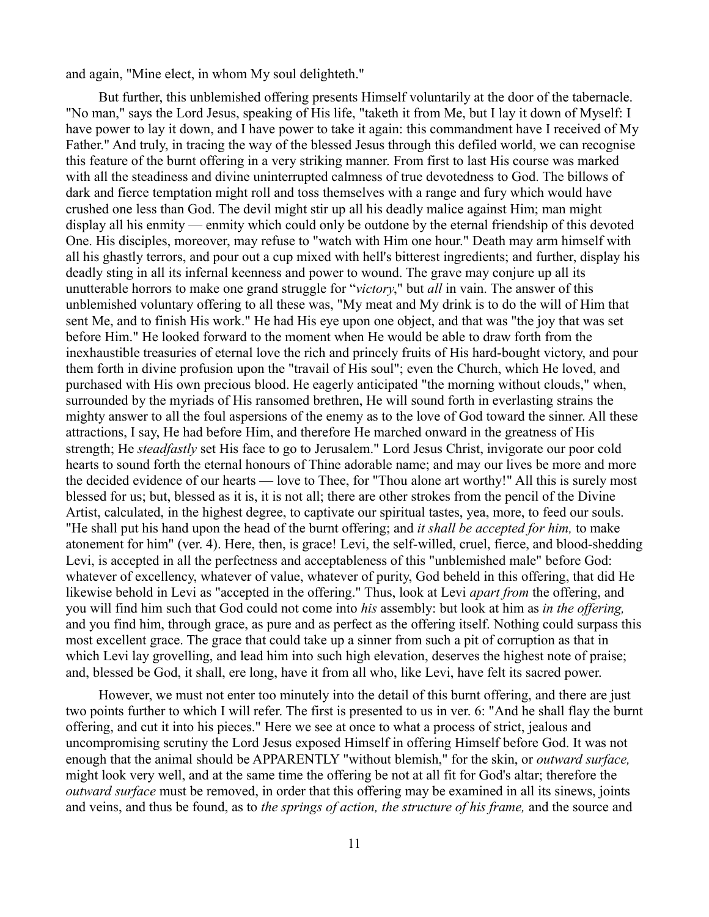and again, "Mine elect, in whom My soul delighteth."

But further, this unblemished offering presents Himself voluntarily at the door of the tabernacle. "No man," says the Lord Jesus, speaking of His life, "taketh it from Me, but I lay it down of Myself: I have power to lay it down, and I have power to take it again: this commandment have I received of My Father." And truly, in tracing the way of the blessed Jesus through this defiled world, we can recognise this feature of the burnt offering in a very striking manner. From first to last His course was marked with all the steadiness and divine uninterrupted calmness of true devotedness to God. The billows of dark and fierce temptation might roll and toss themselves with a range and fury which would have crushed one less than God. The devil might stir up all his deadly malice against Him; man might display all his enmity — enmity which could only be outdone by the eternal friendship of this devoted One. His disciples, moreover, may refuse to "watch with Him one hour." Death may arm himself with all his ghastly terrors, and pour out a cup mixed with hell's bitterest ingredients; and further, display his deadly sting in all its infernal keenness and power to wound. The grave may conjure up all its unutterable horrors to make one grand struggle for "*victory*," but *all* in vain. The answer of this unblemished voluntary offering to all these was, "My meat and My drink is to do the will of Him that sent Me, and to finish His work." He had His eye upon one object, and that was "the joy that was set before Him." He looked forward to the moment when He would be able to draw forth from the inexhaustible treasuries of eternal love the rich and princely fruits of His hard-bought victory, and pour them forth in divine profusion upon the "travail of His soul"; even the Church, which He loved, and purchased with His own precious blood. He eagerly anticipated "the morning without clouds," when, surrounded by the myriads of His ransomed brethren, He will sound forth in everlasting strains the mighty answer to all the foul aspersions of the enemy as to the love of God toward the sinner. All these attractions, I say, He had before Him, and therefore He marched onward in the greatness of His strength; He *steadfastly* set His face to go to Jerusalem." Lord Jesus Christ, invigorate our poor cold hearts to sound forth the eternal honours of Thine adorable name; and may our lives be more and more the decided evidence of our hearts — love to Thee, for "Thou alone art worthy!" All this is surely most blessed for us; but, blessed as it is, it is not all; there are other strokes from the pencil of the Divine Artist, calculated, in the highest degree, to captivate our spiritual tastes, yea, more, to feed our souls. "He shall put his hand upon the head of the burnt offering; and *it shall be accepted for him,* to make atonement for him" (ver. 4). Here, then, is grace! Levi, the self-willed, cruel, fierce, and blood-shedding Levi, is accepted in all the perfectness and acceptableness of this "unblemished male" before God: whatever of excellency, whatever of value, whatever of purity, God beheld in this offering, that did He likewise behold in Levi as "accepted in the offering." Thus, look at Levi *apart from* the offering, and you will find him such that God could not come into *his* assembly: but look at him as *in the offering,* and you find him, through grace, as pure and as perfect as the offering itself. Nothing could surpass this most excellent grace. The grace that could take up a sinner from such a pit of corruption as that in which Levi lay grovelling, and lead him into such high elevation, deserves the highest note of praise; and, blessed be God, it shall, ere long, have it from all who, like Levi, have felt its sacred power.

However, we must not enter too minutely into the detail of this burnt offering, and there are just two points further to which I will refer. The first is presented to us in ver. 6: "And he shall flay the burnt offering, and cut it into his pieces." Here we see at once to what a process of strict, jealous and uncompromising scrutiny the Lord Jesus exposed Himself in offering Himself before God. It was not enough that the animal should be APPARENTLY "without blemish," for the skin, or *outward surface,* might look very well, and at the same time the offering be not at all fit for God's altar; therefore the *outward surface* must be removed, in order that this offering may be examined in all its sinews, joints and veins, and thus be found, as to *the springs of action, the structure of his frame,* and the source and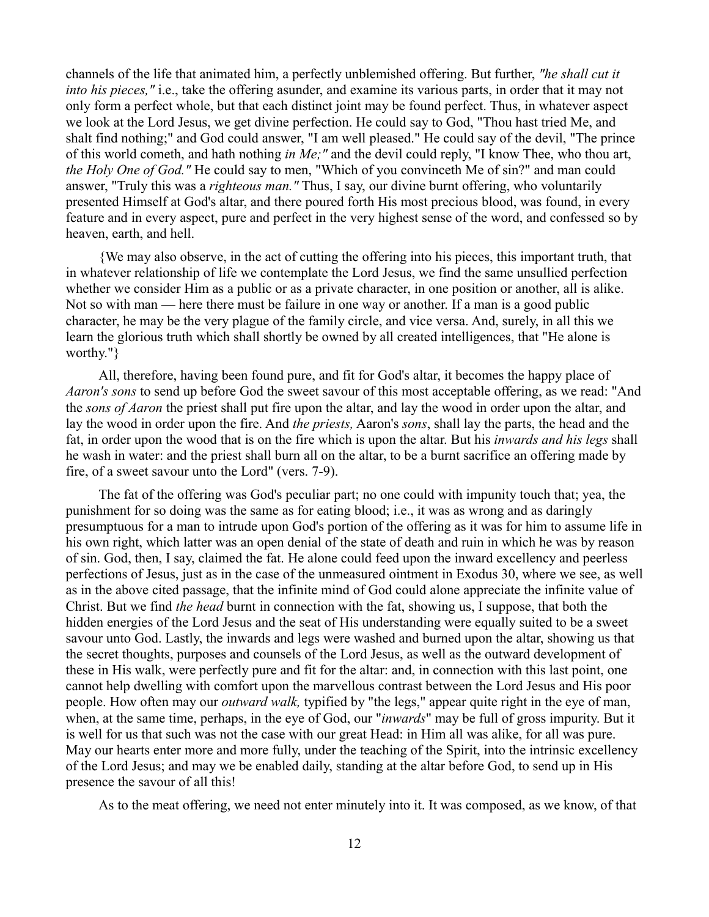channels of the life that animated him, a perfectly unblemished offering. But further, *"he shall cut it into his pieces,"* i.e., take the offering asunder, and examine its various parts, in order that it may not only form a perfect whole, but that each distinct joint may be found perfect. Thus, in whatever aspect we look at the Lord Jesus, we get divine perfection. He could say to God, "Thou hast tried Me, and shalt find nothing;" and God could answer, "I am well pleased." He could say of the devil, "The prince of this world cometh, and hath nothing *in Me;"* and the devil could reply, "I know Thee, who thou art, *the Holy One of God."* He could say to men, "Which of you convinceth Me of sin?" and man could answer, "Truly this was a *righteous man."* Thus, I say, our divine burnt offering, who voluntarily presented Himself at God's altar, and there poured forth His most precious blood, was found, in every feature and in every aspect, pure and perfect in the very highest sense of the word, and confessed so by heaven, earth, and hell.

{We may also observe, in the act of cutting the offering into his pieces, this important truth, that in whatever relationship of life we contemplate the Lord Jesus, we find the same unsullied perfection whether we consider Him as a public or as a private character, in one position or another, all is alike. Not so with man — here there must be failure in one way or another. If a man is a good public character, he may be the very plague of the family circle, and vice versa. And, surely, in all this we learn the glorious truth which shall shortly be owned by all created intelligences, that "He alone is worthy."}

All, therefore, having been found pure, and fit for God's altar, it becomes the happy place of *Aaron's sons* to send up before God the sweet savour of this most acceptable offering, as we read: "And the *sons of Aaron* the priest shall put fire upon the altar, and lay the wood in order upon the altar, and lay the wood in order upon the fire. And *the priests,* Aaron's *sons*, shall lay the parts, the head and the fat, in order upon the wood that is on the fire which is upon the altar. But his *inwards and his legs* shall he wash in water: and the priest shall burn all on the altar, to be a burnt sacrifice an offering made by fire, of a sweet savour unto the Lord" (vers. 7-9).

The fat of the offering was God's peculiar part; no one could with impunity touch that; yea, the punishment for so doing was the same as for eating blood; i.e., it was as wrong and as daringly presumptuous for a man to intrude upon God's portion of the offering as it was for him to assume life in his own right, which latter was an open denial of the state of death and ruin in which he was by reason of sin. God, then, I say, claimed the fat. He alone could feed upon the inward excellency and peerless perfections of Jesus, just as in the case of the unmeasured ointment in Exodus 30, where we see, as well as in the above cited passage, that the infinite mind of God could alone appreciate the infinite value of Christ. But we find *the head* burnt in connection with the fat, showing us, I suppose, that both the hidden energies of the Lord Jesus and the seat of His understanding were equally suited to be a sweet savour unto God. Lastly, the inwards and legs were washed and burned upon the altar, showing us that the secret thoughts, purposes and counsels of the Lord Jesus, as well as the outward development of these in His walk, were perfectly pure and fit for the altar: and, in connection with this last point, one cannot help dwelling with comfort upon the marvellous contrast between the Lord Jesus and His poor people. How often may our *outward walk,* typified by "the legs," appear quite right in the eye of man, when, at the same time, perhaps, in the eye of God, our "*inwards*" may be full of gross impurity. But it is well for us that such was not the case with our great Head: in Him all was alike, for all was pure. May our hearts enter more and more fully, under the teaching of the Spirit, into the intrinsic excellency of the Lord Jesus; and may we be enabled daily, standing at the altar before God, to send up in His presence the savour of all this!

As to the meat offering, we need not enter minutely into it. It was composed, as we know, of that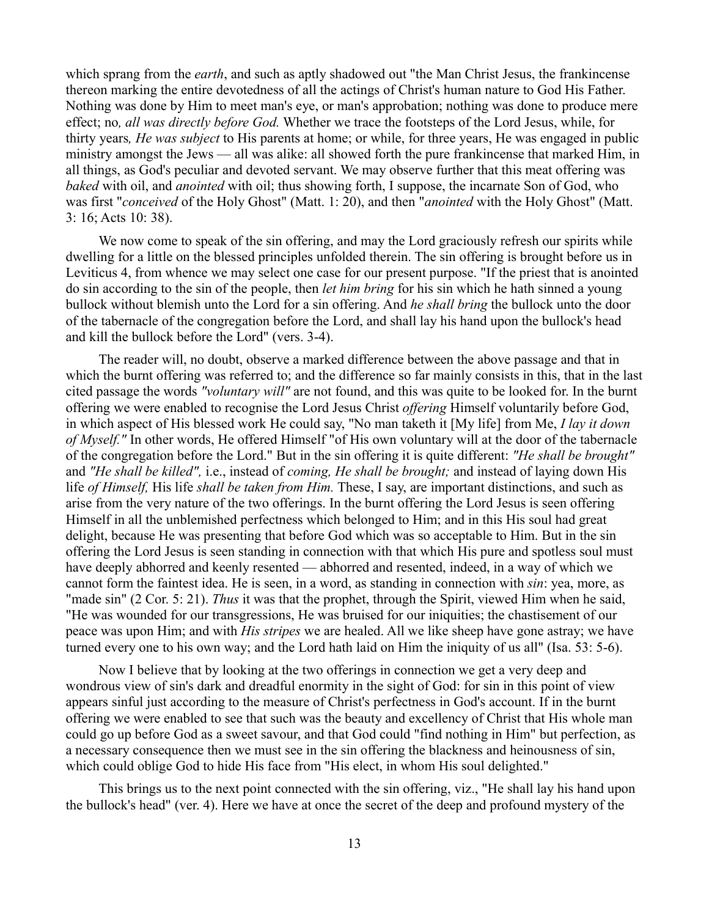which sprang from the *earth*, and such as aptly shadowed out "the Man Christ Jesus, the frankincense thereon marking the entire devotedness of all the actings of Christ's human nature to God His Father. Nothing was done by Him to meet man's eye, or man's approbation; nothing was done to produce mere effect; no*, all was directly before God.* Whether we trace the footsteps of the Lord Jesus, while, for thirty years*, He was subject* to His parents at home; or while, for three years, He was engaged in public ministry amongst the Jews — all was alike: all showed forth the pure frankincense that marked Him, in all things, as God's peculiar and devoted servant. We may observe further that this meat offering was *baked* with oil, and *anointed* with oil; thus showing forth, I suppose, the incarnate Son of God, who was first "*conceived* of the Holy Ghost" (Matt. 1: 20), and then "*anointed* with the Holy Ghost" (Matt. 3: 16; Acts 10: 38).

We now come to speak of the sin offering, and may the Lord graciously refresh our spirits while dwelling for a little on the blessed principles unfolded therein. The sin offering is brought before us in Leviticus 4, from whence we may select one case for our present purpose. "If the priest that is anointed do sin according to the sin of the people, then *let him bring* for his sin which he hath sinned a young bullock without blemish unto the Lord for a sin offering. And *he shall bring* the bullock unto the door of the tabernacle of the congregation before the Lord, and shall lay his hand upon the bullock's head and kill the bullock before the Lord" (vers. 3-4).

The reader will, no doubt, observe a marked difference between the above passage and that in which the burnt offering was referred to; and the difference so far mainly consists in this, that in the last cited passage the words *"voluntary will"* are not found, and this was quite to be looked for. In the burnt offering we were enabled to recognise the Lord Jesus Christ *offering* Himself voluntarily before God, in which aspect of His blessed work He could say, "No man taketh it [My life] from Me, *I lay it down of Myself."* In other words, He offered Himself "of His own voluntary will at the door of the tabernacle of the congregation before the Lord." But in the sin offering it is quite different: *"He shall be brought"* and *"He shall be killed",* i.e., instead of *coming, He shall be brought;* and instead of laying down His life *of Himself,* His life *shall be taken from Him.* These, I say, are important distinctions, and such as arise from the very nature of the two offerings. In the burnt offering the Lord Jesus is seen offering Himself in all the unblemished perfectness which belonged to Him; and in this His soul had great delight, because He was presenting that before God which was so acceptable to Him. But in the sin offering the Lord Jesus is seen standing in connection with that which His pure and spotless soul must have deeply abhorred and keenly resented — abhorred and resented, indeed, in a way of which we cannot form the faintest idea. He is seen, in a word, as standing in connection with *sin*: yea, more, as "made sin" (2 Cor. 5: 21). *Thus* it was that the prophet, through the Spirit, viewed Him when he said, "He was wounded for our transgressions, He was bruised for our iniquities; the chastisement of our peace was upon Him; and with *His stripes* we are healed. All we like sheep have gone astray; we have turned every one to his own way; and the Lord hath laid on Him the iniquity of us all" (Isa. 53: 5-6).

Now I believe that by looking at the two offerings in connection we get a very deep and wondrous view of sin's dark and dreadful enormity in the sight of God: for sin in this point of view appears sinful just according to the measure of Christ's perfectness in God's account. If in the burnt offering we were enabled to see that such was the beauty and excellency of Christ that His whole man could go up before God as a sweet savour, and that God could "find nothing in Him" but perfection, as a necessary consequence then we must see in the sin offering the blackness and heinousness of sin, which could oblige God to hide His face from "His elect, in whom His soul delighted."

This brings us to the next point connected with the sin offering, viz., "He shall lay his hand upon the bullock's head" (ver. 4). Here we have at once the secret of the deep and profound mystery of the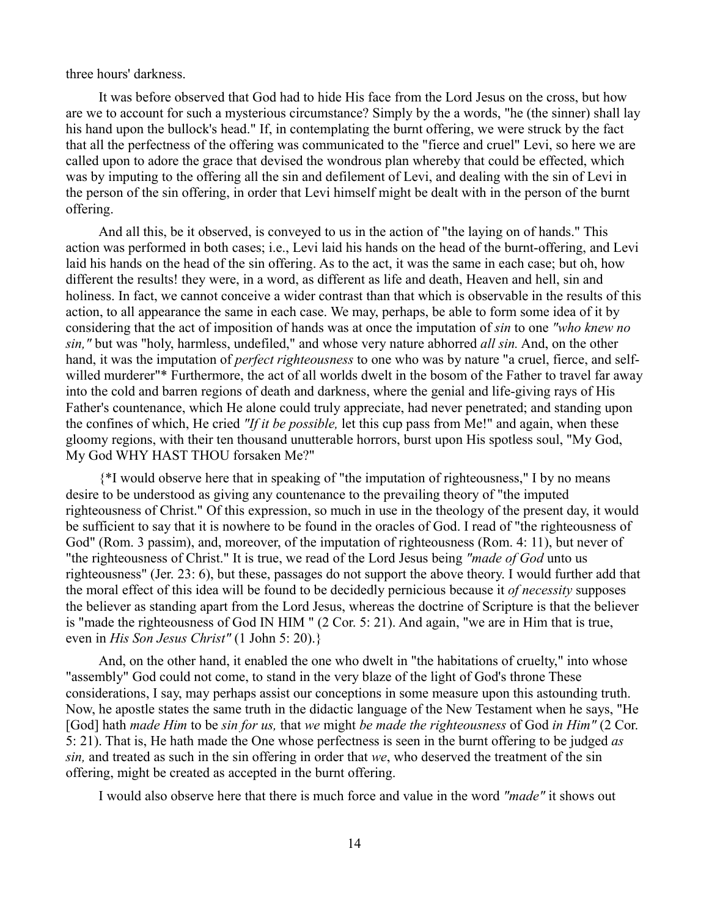three hours' darkness.

It was before observed that God had to hide His face from the Lord Jesus on the cross, but how are we to account for such a mysterious circumstance? Simply by the a words, "he (the sinner) shall lay his hand upon the bullock's head." If, in contemplating the burnt offering, we were struck by the fact that all the perfectness of the offering was communicated to the "fierce and cruel" Levi, so here we are called upon to adore the grace that devised the wondrous plan whereby that could be effected, which was by imputing to the offering all the sin and defilement of Levi, and dealing with the sin of Levi in the person of the sin offering, in order that Levi himself might be dealt with in the person of the burnt offering.

And all this, be it observed, is conveyed to us in the action of "the laying on of hands." This action was performed in both cases; i.e., Levi laid his hands on the head of the burnt-offering, and Levi laid his hands on the head of the sin offering. As to the act, it was the same in each case; but oh, how different the results! they were, in a word, as different as life and death, Heaven and hell, sin and holiness. In fact, we cannot conceive a wider contrast than that which is observable in the results of this action, to all appearance the same in each case. We may, perhaps, be able to form some idea of it by considering that the act of imposition of hands was at once the imputation of *sin* to one *"who knew no sin,"* but was "holy, harmless, undefiled," and whose very nature abhorred *all sin.* And, on the other hand, it was the imputation of *perfect righteousness* to one who was by nature "a cruel, fierce, and selfwilled murderer"\* Furthermore, the act of all worlds dwelt in the bosom of the Father to travel far away into the cold and barren regions of death and darkness, where the genial and life-giving rays of His Father's countenance, which He alone could truly appreciate, had never penetrated; and standing upon the confines of which, He cried *"If it be possible,* let this cup pass from Me!" and again, when these gloomy regions, with their ten thousand unutterable horrors, burst upon His spotless soul, "My God, My God WHY HAST THOU forsaken Me?"

{\*I would observe here that in speaking of "the imputation of righteousness," I by no means desire to be understood as giving any countenance to the prevailing theory of "the imputed righteousness of Christ." Of this expression, so much in use in the theology of the present day, it would be sufficient to say that it is nowhere to be found in the oracles of God. I read of "the righteousness of God" (Rom. 3 passim), and, moreover, of the imputation of righteousness (Rom. 4: 11), but never of "the righteousness of Christ." It is true, we read of the Lord Jesus being *"made of God* unto us righteousness" (Jer. 23: 6), but these, passages do not support the above theory. I would further add that the moral effect of this idea will be found to be decidedly pernicious because it *of necessity* supposes the believer as standing apart from the Lord Jesus, whereas the doctrine of Scripture is that the believer is "made the righteousness of God IN HIM " (2 Cor. 5: 21). And again, "we are in Him that is true, even in *His Son Jesus Christ"* (1 John 5: 20).}

And, on the other hand, it enabled the one who dwelt in "the habitations of cruelty," into whose "assembly" God could not come, to stand in the very blaze of the light of God's throne These considerations, I say, may perhaps assist our conceptions in some measure upon this astounding truth. Now, he apostle states the same truth in the didactic language of the New Testament when he says, "He [God] hath *made Him* to be *sin for us,* that *we* might *be made the righteousness* of God *in Him"* (2 Cor. 5: 21). That is, He hath made the One whose perfectness is seen in the burnt offering to be judged *as sin,* and treated as such in the sin offering in order that *we*, who deserved the treatment of the sin offering, might be created as accepted in the burnt offering.

I would also observe here that there is much force and value in the word *"made"* it shows out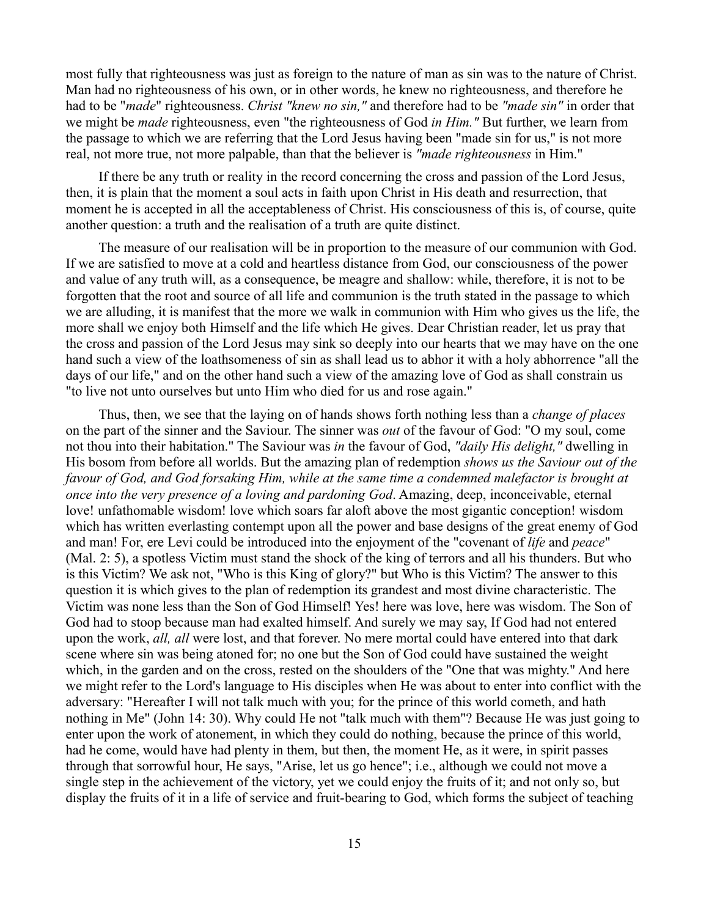most fully that righteousness was just as foreign to the nature of man as sin was to the nature of Christ. Man had no righteousness of his own, or in other words, he knew no righteousness, and therefore he had to be "*made*" righteousness. *Christ "knew no sin,"* and therefore had to be *"made sin"* in order that we might be *made* righteousness, even "the righteousness of God *in Him."* But further, we learn from the passage to which we are referring that the Lord Jesus having been "made sin for us," is not more real, not more true, not more palpable, than that the believer is *"made righteousness* in Him."

If there be any truth or reality in the record concerning the cross and passion of the Lord Jesus, then, it is plain that the moment a soul acts in faith upon Christ in His death and resurrection, that moment he is accepted in all the acceptableness of Christ. His consciousness of this is, of course, quite another question: a truth and the realisation of a truth are quite distinct.

The measure of our realisation will be in proportion to the measure of our communion with God. If we are satisfied to move at a cold and heartless distance from God, our consciousness of the power and value of any truth will, as a consequence, be meagre and shallow: while, therefore, it is not to be forgotten that the root and source of all life and communion is the truth stated in the passage to which we are alluding, it is manifest that the more we walk in communion with Him who gives us the life, the more shall we enjoy both Himself and the life which He gives. Dear Christian reader, let us pray that the cross and passion of the Lord Jesus may sink so deeply into our hearts that we may have on the one hand such a view of the loathsomeness of sin as shall lead us to abhor it with a holy abhorrence "all the days of our life," and on the other hand such a view of the amazing love of God as shall constrain us "to live not unto ourselves but unto Him who died for us and rose again."

Thus, then, we see that the laying on of hands shows forth nothing less than a *change of places* on the part of the sinner and the Saviour. The sinner was *out* of the favour of God: "O my soul, come not thou into their habitation." The Saviour was *in* the favour of God, *"daily His delight,"* dwelling in His bosom from before all worlds. But the amazing plan of redemption *shows us the Saviour out of the favour of God, and God forsaking Him, while at the same time a condemned malefactor is brought at once into the very presence of a loving and pardoning God*. Amazing, deep, inconceivable, eternal love! unfathomable wisdom! love which soars far aloft above the most gigantic conception! wisdom which has written everlasting contempt upon all the power and base designs of the great enemy of God and man! For, ere Levi could be introduced into the enjoyment of the "covenant of *life* and *peace*" (Mal. 2: 5), a spotless Victim must stand the shock of the king of terrors and all his thunders. But who is this Victim? We ask not, "Who is this King of glory?" but Who is this Victim? The answer to this question it is which gives to the plan of redemption its grandest and most divine characteristic. The Victim was none less than the Son of God Himself! Yes! here was love, here was wisdom. The Son of God had to stoop because man had exalted himself. And surely we may say, If God had not entered upon the work, *all, all* were lost, and that forever. No mere mortal could have entered into that dark scene where sin was being atoned for; no one but the Son of God could have sustained the weight which, in the garden and on the cross, rested on the shoulders of the "One that was mighty." And here we might refer to the Lord's language to His disciples when He was about to enter into conflict with the adversary: "Hereafter I will not talk much with you; for the prince of this world cometh, and hath nothing in Me" (John 14: 30). Why could He not "talk much with them"? Because He was just going to enter upon the work of atonement, in which they could do nothing, because the prince of this world, had he come, would have had plenty in them, but then, the moment He, as it were, in spirit passes through that sorrowful hour, He says, "Arise, let us go hence"; i.e., although we could not move a single step in the achievement of the victory, yet we could enjoy the fruits of it; and not only so, but display the fruits of it in a life of service and fruit-bearing to God, which forms the subject of teaching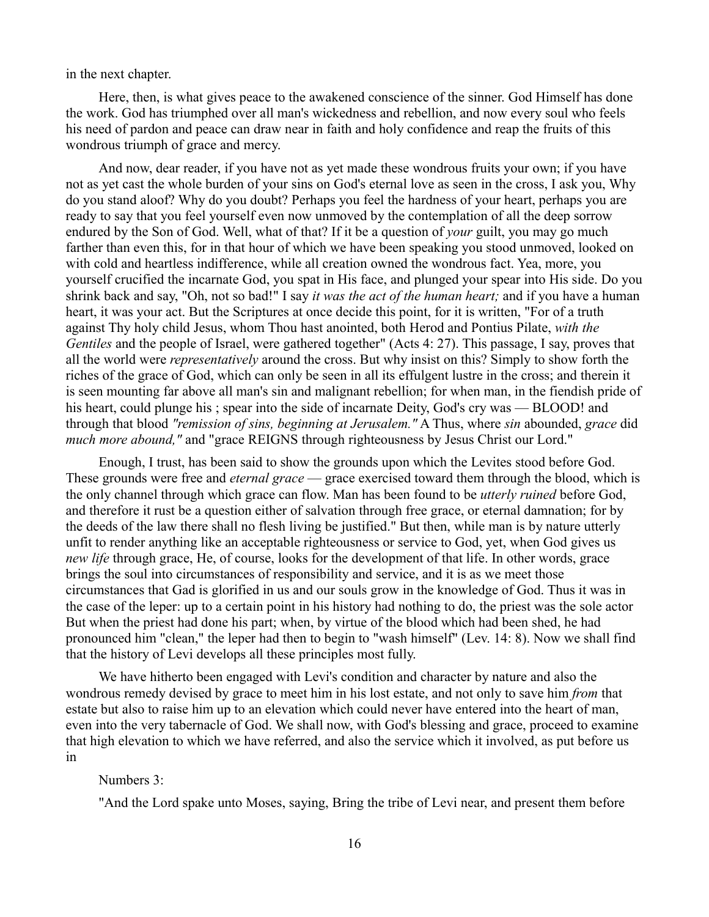in the next chapter.

Here, then, is what gives peace to the awakened conscience of the sinner. God Himself has done the work. God has triumphed over all man's wickedness and rebellion, and now every soul who feels his need of pardon and peace can draw near in faith and holy confidence and reap the fruits of this wondrous triumph of grace and mercy.

And now, dear reader, if you have not as yet made these wondrous fruits your own; if you have not as yet cast the whole burden of your sins on God's eternal love as seen in the cross, I ask you, Why do you stand aloof? Why do you doubt? Perhaps you feel the hardness of your heart, perhaps you are ready to say that you feel yourself even now unmoved by the contemplation of all the deep sorrow endured by the Son of God. Well, what of that? If it be a question of *your* guilt, you may go much farther than even this, for in that hour of which we have been speaking you stood unmoved, looked on with cold and heartless indifference, while all creation owned the wondrous fact. Yea, more, you yourself crucified the incarnate God, you spat in His face, and plunged your spear into His side. Do you shrink back and say, "Oh, not so bad!" I say *it was the act of the human heart;* and if you have a human heart, it was your act. But the Scriptures at once decide this point, for it is written, "For of a truth against Thy holy child Jesus, whom Thou hast anointed, both Herod and Pontius Pilate, *with the Gentiles* and the people of Israel, were gathered together" (Acts 4: 27). This passage, I say, proves that all the world were *representatively* around the cross. But why insist on this? Simply to show forth the riches of the grace of God, which can only be seen in all its effulgent lustre in the cross; and therein it is seen mounting far above all man's sin and malignant rebellion; for when man, in the fiendish pride of his heart, could plunge his; spear into the side of incarnate Deity, God's cry was — BLOOD! and through that blood *"remission of sins, beginning at Jerusalem."* A Thus, where *sin* abounded, *grace* did *much more abound,"* and "grace REIGNS through righteousness by Jesus Christ our Lord."

Enough, I trust, has been said to show the grounds upon which the Levites stood before God. These grounds were free and *eternal grace* — grace exercised toward them through the blood, which is the only channel through which grace can flow. Man has been found to be *utterly ruined* before God, and therefore it rust be a question either of salvation through free grace, or eternal damnation; for by the deeds of the law there shall no flesh living be justified." But then, while man is by nature utterly unfit to render anything like an acceptable righteousness or service to God, yet, when God gives us *new life* through grace, He, of course, looks for the development of that life. In other words, grace brings the soul into circumstances of responsibility and service, and it is as we meet those circumstances that Gad is glorified in us and our souls grow in the knowledge of God. Thus it was in the case of the leper: up to a certain point in his history had nothing to do, the priest was the sole actor But when the priest had done his part; when, by virtue of the blood which had been shed, he had pronounced him "clean," the leper had then to begin to "wash himself" (Lev. 14: 8). Now we shall find that the history of Levi develops all these principles most fully.

We have hitherto been engaged with Levi's condition and character by nature and also the wondrous remedy devised by grace to meet him in his lost estate, and not only to save him *from* that estate but also to raise him up to an elevation which could never have entered into the heart of man, even into the very tabernacle of God. We shall now, with God's blessing and grace, proceed to examine that high elevation to which we have referred, and also the service which it involved, as put before us in

## Numbers 3:

"And the Lord spake unto Moses, saying, Bring the tribe of Levi near, and present them before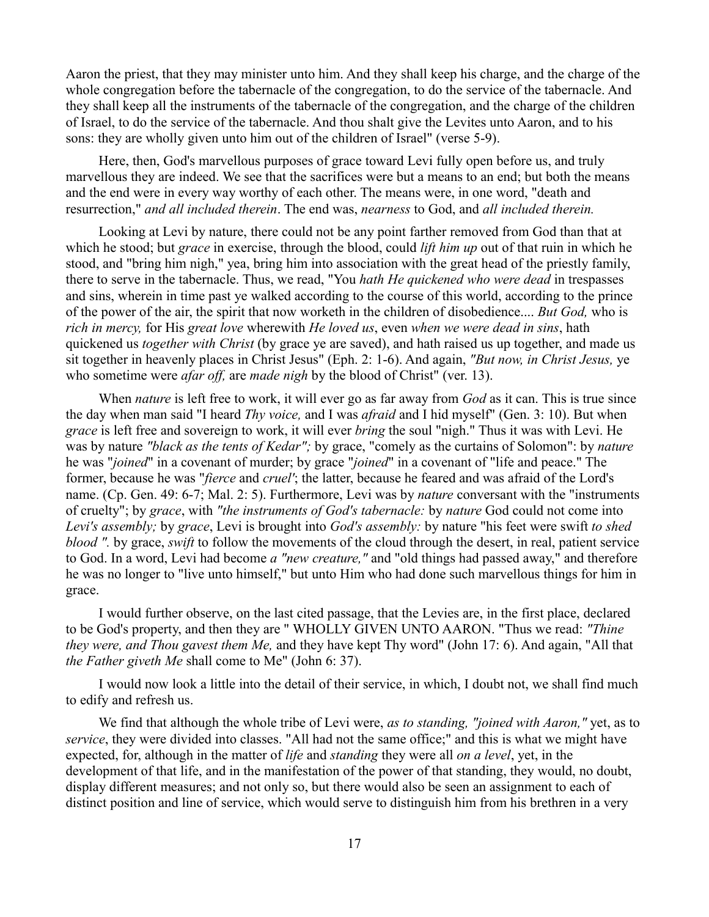Aaron the priest, that they may minister unto him. And they shall keep his charge, and the charge of the whole congregation before the tabernacle of the congregation, to do the service of the tabernacle. And they shall keep all the instruments of the tabernacle of the congregation, and the charge of the children of Israel, to do the service of the tabernacle. And thou shalt give the Levites unto Aaron, and to his sons: they are wholly given unto him out of the children of Israel" (verse 5-9).

Here, then, God's marvellous purposes of grace toward Levi fully open before us, and truly marvellous they are indeed. We see that the sacrifices were but a means to an end; but both the means and the end were in every way worthy of each other. The means were, in one word, "death and resurrection," *and all included therein*. The end was, *nearness* to God, and *all included therein.*

Looking at Levi by nature, there could not be any point farther removed from God than that at which he stood; but *grace* in exercise, through the blood, could *lift him up* out of that ruin in which he stood, and "bring him nigh," yea, bring him into association with the great head of the priestly family, there to serve in the tabernacle. Thus, we read, "You *hath He quickened who were dead* in trespasses and sins, wherein in time past ye walked according to the course of this world, according to the prince of the power of the air, the spirit that now worketh in the children of disobedience.... *But God,* who is *rich in mercy,* for His *great love* wherewith *He loved us*, even *when we were dead in sins*, hath quickened us *together with Christ* (by grace ye are saved), and hath raised us up together, and made us sit together in heavenly places in Christ Jesus" (Eph. 2: 1-6). And again, *"But now, in Christ Jesus,* ye who sometime were *afar off*, are *made nigh* by the blood of Christ" (ver. 13).

When *nature* is left free to work, it will ever go as far away from *God* as it can. This is true since the day when man said "I heard *Thy voice,* and I was *afraid* and I hid myself" (Gen. 3: 10). But when *grace* is left free and sovereign to work, it will ever *bring* the soul "nigh." Thus it was with Levi. He was by nature *"black as the tents of Kedar";* by grace, "comely as the curtains of Solomon": by *nature* he was "*joined*" in a covenant of murder; by grace "*joined*" in a covenant of "life and peace." The former, because he was "*fierce* and *cruel'*; the latter, because he feared and was afraid of the Lord's name. (Cp. Gen. 49: 6-7; Mal. 2: 5). Furthermore, Levi was by *nature* conversant with the "instruments of cruelty"; by *grace*, with *"the instruments of God's tabernacle:* by *nature* God could not come into *Levi's assembly;* by *grace*, Levi is brought into *God's assembly:* by nature "his feet were swift *to shed blood ".* by grace, *swift* to follow the movements of the cloud through the desert, in real, patient service to God. In a word, Levi had become *a "new creature,"* and "old things had passed away," and therefore he was no longer to "live unto himself," but unto Him who had done such marvellous things for him in grace.

I would further observe, on the last cited passage, that the Levies are, in the first place, declared to be God's property, and then they are " WHOLLY GIVEN UNTO AARON. "Thus we read: *"Thine they were, and Thou gavest them Me,* and they have kept Thy word" (John 17: 6). And again, "All that *the Father giveth Me* shall come to Me" (John 6: 37).

I would now look a little into the detail of their service, in which, I doubt not, we shall find much to edify and refresh us.

We find that although the whole tribe of Levi were, *as to standing, "joined with Aaron,"* yet, as to *service*, they were divided into classes. "All had not the same office;" and this is what we might have expected, for, although in the matter of *life* and *standing* they were all *on a level*, yet, in the development of that life, and in the manifestation of the power of that standing, they would, no doubt, display different measures; and not only so, but there would also be seen an assignment to each of distinct position and line of service, which would serve to distinguish him from his brethren in a very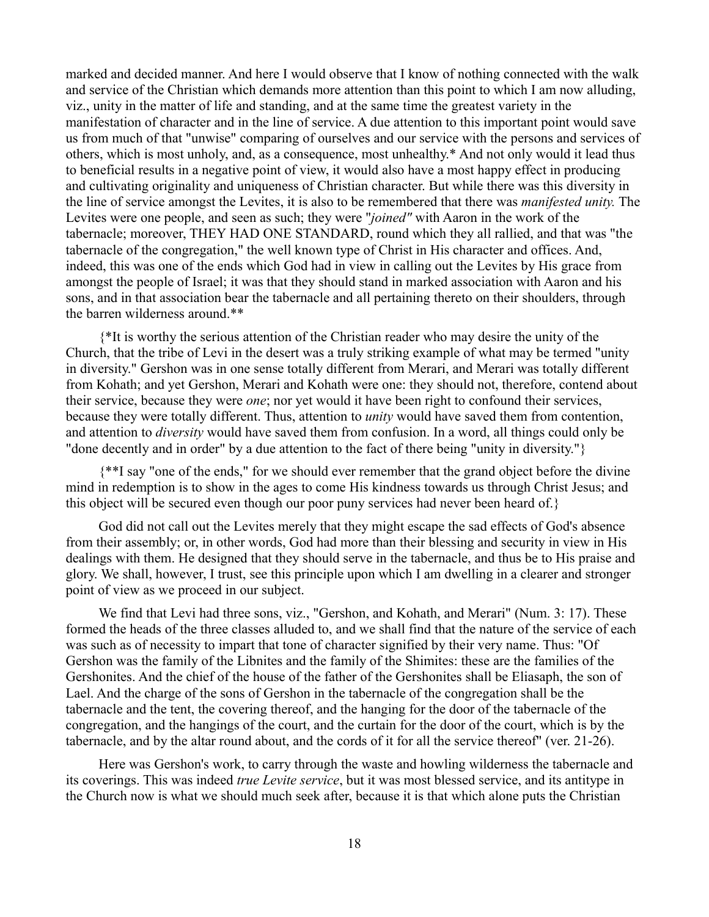marked and decided manner. And here I would observe that I know of nothing connected with the walk and service of the Christian which demands more attention than this point to which I am now alluding, viz., unity in the matter of life and standing, and at the same time the greatest variety in the manifestation of character and in the line of service. A due attention to this important point would save us from much of that "unwise" comparing of ourselves and our service with the persons and services of others, which is most unholy, and, as a consequence, most unhealthy.\* And not only would it lead thus to beneficial results in a negative point of view, it would also have a most happy effect in producing and cultivating originality and uniqueness of Christian character. But while there was this diversity in the line of service amongst the Levites, it is also to be remembered that there was *manifested unity.* The Levites were one people, and seen as such; they were "*joined"* with Aaron in the work of the tabernacle; moreover, THEY HAD ONE STANDARD, round which they all rallied, and that was "the tabernacle of the congregation," the well known type of Christ in His character and offices. And, indeed, this was one of the ends which God had in view in calling out the Levites by His grace from amongst the people of Israel; it was that they should stand in marked association with Aaron and his sons, and in that association bear the tabernacle and all pertaining thereto on their shoulders, through the barren wilderness around.\*\*

{\*It is worthy the serious attention of the Christian reader who may desire the unity of the Church, that the tribe of Levi in the desert was a truly striking example of what may be termed "unity in diversity." Gershon was in one sense totally different from Merari, and Merari was totally different from Kohath; and yet Gershon, Merari and Kohath were one: they should not, therefore, contend about their service, because they were *one*; nor yet would it have been right to confound their services, because they were totally different. Thus, attention to *unity* would have saved them from contention, and attention to *diversity* would have saved them from confusion. In a word, all things could only be "done decently and in order" by a due attention to the fact of there being "unity in diversity."}

{\*\*I say "one of the ends," for we should ever remember that the grand object before the divine mind in redemption is to show in the ages to come His kindness towards us through Christ Jesus; and this object will be secured even though our poor puny services had never been heard of.}

God did not call out the Levites merely that they might escape the sad effects of God's absence from their assembly; or, in other words, God had more than their blessing and security in view in His dealings with them. He designed that they should serve in the tabernacle, and thus be to His praise and glory. We shall, however, I trust, see this principle upon which I am dwelling in a clearer and stronger point of view as we proceed in our subject.

We find that Levi had three sons, viz., "Gershon, and Kohath, and Merari" (Num. 3: 17). These formed the heads of the three classes alluded to, and we shall find that the nature of the service of each was such as of necessity to impart that tone of character signified by their very name. Thus: "Of Gershon was the family of the Libnites and the family of the Shimites: these are the families of the Gershonites. And the chief of the house of the father of the Gershonites shall be Eliasaph, the son of Lael. And the charge of the sons of Gershon in the tabernacle of the congregation shall be the tabernacle and the tent, the covering thereof, and the hanging for the door of the tabernacle of the congregation, and the hangings of the court, and the curtain for the door of the court, which is by the tabernacle, and by the altar round about, and the cords of it for all the service thereof" (ver. 21-26).

Here was Gershon's work, to carry through the waste and howling wilderness the tabernacle and its coverings. This was indeed *true Levite service*, but it was most blessed service, and its antitype in the Church now is what we should much seek after, because it is that which alone puts the Christian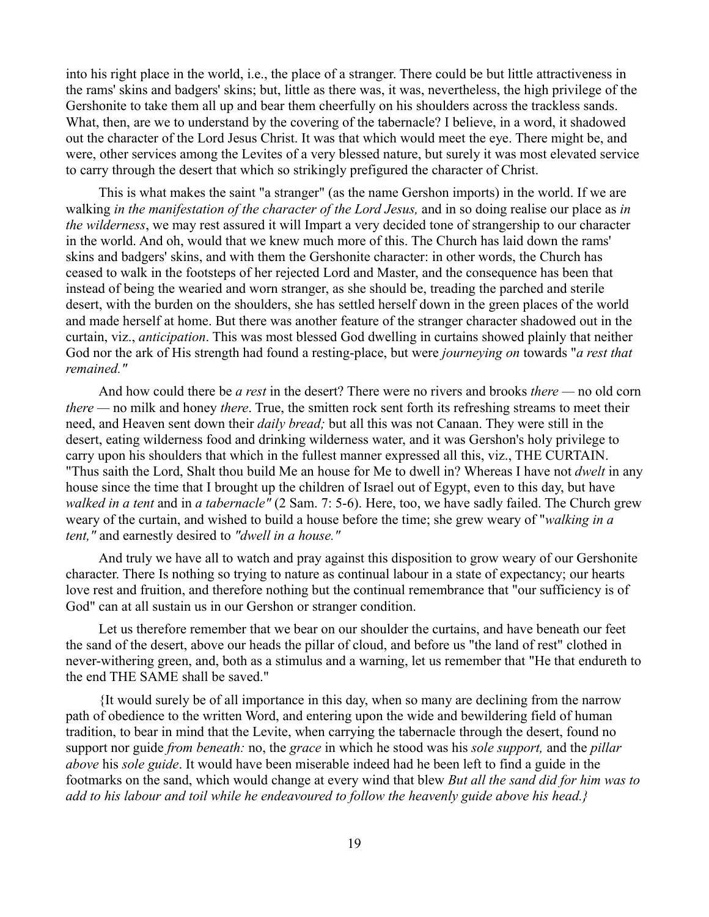into his right place in the world, i.e., the place of a stranger. There could be but little attractiveness in the rams' skins and badgers' skins; but, little as there was, it was, nevertheless, the high privilege of the Gershonite to take them all up and bear them cheerfully on his shoulders across the trackless sands. What, then, are we to understand by the covering of the tabernacle? I believe, in a word, it shadowed out the character of the Lord Jesus Christ. It was that which would meet the eye. There might be, and were, other services among the Levites of a very blessed nature, but surely it was most elevated service to carry through the desert that which so strikingly prefigured the character of Christ.

This is what makes the saint "a stranger" (as the name Gershon imports) in the world. If we are walking *in the manifestation of the character of the Lord Jesus,* and in so doing realise our place as *in the wilderness*, we may rest assured it will Impart a very decided tone of strangership to our character in the world. And oh, would that we knew much more of this. The Church has laid down the rams' skins and badgers' skins, and with them the Gershonite character: in other words, the Church has ceased to walk in the footsteps of her rejected Lord and Master, and the consequence has been that instead of being the wearied and worn stranger, as she should be, treading the parched and sterile desert, with the burden on the shoulders, she has settled herself down in the green places of the world and made herself at home. But there was another feature of the stranger character shadowed out in the curtain, viz., *anticipation*. This was most blessed God dwelling in curtains showed plainly that neither God nor the ark of His strength had found a resting-place, but were *journeying on* towards "*a rest that remained."*

And how could there be *a rest* in the desert? There were no rivers and brooks *there —* no old corn *there —* no milk and honey *there*. True, the smitten rock sent forth its refreshing streams to meet their need, and Heaven sent down their *daily bread;* but all this was not Canaan. They were still in the desert, eating wilderness food and drinking wilderness water, and it was Gershon's holy privilege to carry upon his shoulders that which in the fullest manner expressed all this, viz., THE CURTAIN. "Thus saith the Lord, Shalt thou build Me an house for Me to dwell in? Whereas I have not *dwelt* in any house since the time that I brought up the children of Israel out of Egypt, even to this day, but have *walked in a tent* and in *a tabernacle"* (2 Sam. 7: 5-6). Here, too, we have sadly failed. The Church grew weary of the curtain, and wished to build a house before the time; she grew weary of "*walking in a tent,"* and earnestly desired to *"dwell in a house."*

And truly we have all to watch and pray against this disposition to grow weary of our Gershonite character. There Is nothing so trying to nature as continual labour in a state of expectancy; our hearts love rest and fruition, and therefore nothing but the continual remembrance that "our sufficiency is of God" can at all sustain us in our Gershon or stranger condition.

Let us therefore remember that we bear on our shoulder the curtains, and have beneath our feet the sand of the desert, above our heads the pillar of cloud, and before us "the land of rest" clothed in never-withering green, and, both as a stimulus and a warning, let us remember that "He that endureth to the end THE SAME shall be saved."

{It would surely be of all importance in this day, when so many are declining from the narrow path of obedience to the written Word, and entering upon the wide and bewildering field of human tradition, to bear in mind that the Levite, when carrying the tabernacle through the desert, found no support nor guide *from beneath:* no, the *grace* in which he stood was his *sole support,* and the *pillar above* his *sole guide*. It would have been miserable indeed had he been left to find a guide in the footmarks on the sand, which would change at every wind that blew *But all the sand did for him was to add to his labour and toil while he endeavoured to follow the heavenly guide above his head.}*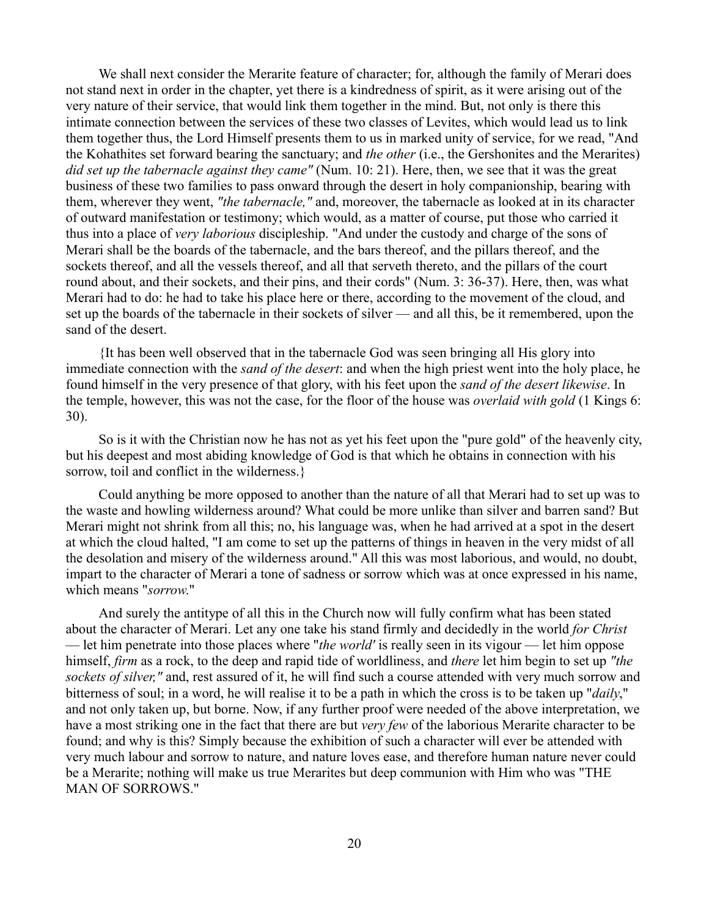We shall next consider the Merarite feature of character; for, although the family of Merari does not stand next in order in the chapter, yet there is a kindredness of spirit, as it were arising out of the very nature of their service, that would link them together in the mind. But, not only is there this intimate connection between the services of these two classes of Levites, which would lead us to link them together thus, the Lord Himself presents them to us in marked unity of service, for we read, "And the Kohathites set forward bearing the sanctuary; and *the other* (i.e., the Gershonites and the Merarites) *did set up the tabernacle against they came"* (Num. 10: 21). Here, then, we see that it was the great business of these two families to pass onward through the desert in holy companionship, bearing with them, wherever they went, *"the tabernacle,"* and, moreover, the tabernacle as looked at in its character of outward manifestation or testimony; which would, as a matter of course, put those who carried it thus into a place of *very laborious* discipleship. "And under the custody and charge of the sons of Merari shall be the boards of the tabernacle, and the bars thereof, and the pillars thereof, and the sockets thereof, and all the vessels thereof, and all that serveth thereto, and the pillars of the court round about, and their sockets, and their pins, and their cords" (Num. 3: 36-37). Here, then, was what Merari had to do: he had to take his place here or there, according to the movement of the cloud, and set up the boards of the tabernacle in their sockets of silver — and all this, be it remembered, upon the sand of the desert.

{It has been well observed that in the tabernacle God was seen bringing all His glory into immediate connection with the *sand of the desert*: and when the high priest went into the holy place, he found himself in the very presence of that glory, with his feet upon the *sand of the desert likewise*. In the temple, however, this was not the case, for the floor of the house was *overlaid with gold* (1 Kings 6: 30).

So is it with the Christian now he has not as yet his feet upon the "pure gold" of the heavenly city, but his deepest and most abiding knowledge of God is that which he obtains in connection with his sorrow, toil and conflict in the wilderness.}

Could anything be more opposed to another than the nature of all that Merari had to set up was to the waste and howling wilderness around? What could be more unlike than silver and barren sand? But Merari might not shrink from all this; no, his language was, when he had arrived at a spot in the desert at which the cloud halted, "I am come to set up the patterns of things in heaven in the very midst of all the desolation and misery of the wilderness around." All this was most laborious, and would, no doubt, impart to the character of Merari a tone of sadness or sorrow which was at once expressed in his name, which means "*sorrow*."

And surely the antitype of all this in the Church now will fully confirm what has been stated about the character of Merari. Let any one take his stand firmly and decidedly in the world *for Christ* — let him penetrate into those places where "*the world'* is really seen in its vigour — let him oppose himself, *firm* as a rock, to the deep and rapid tide of worldliness, and *there* let him begin to set up *"the sockets of silver,"* and, rest assured of it, he will find such a course attended with very much sorrow and bitterness of soul; in a word, he will realise it to be a path in which the cross is to be taken up "*daily*," and not only taken up, but borne. Now, if any further proof were needed of the above interpretation, we have a most striking one in the fact that there are but *very few* of the laborious Merarite character to be found; and why is this? Simply because the exhibition of such a character will ever be attended with very much labour and sorrow to nature, and nature loves ease, and therefore human nature never could be a Merarite; nothing will make us true Merarites but deep communion with Him who was "THE MAN OF SORROWS."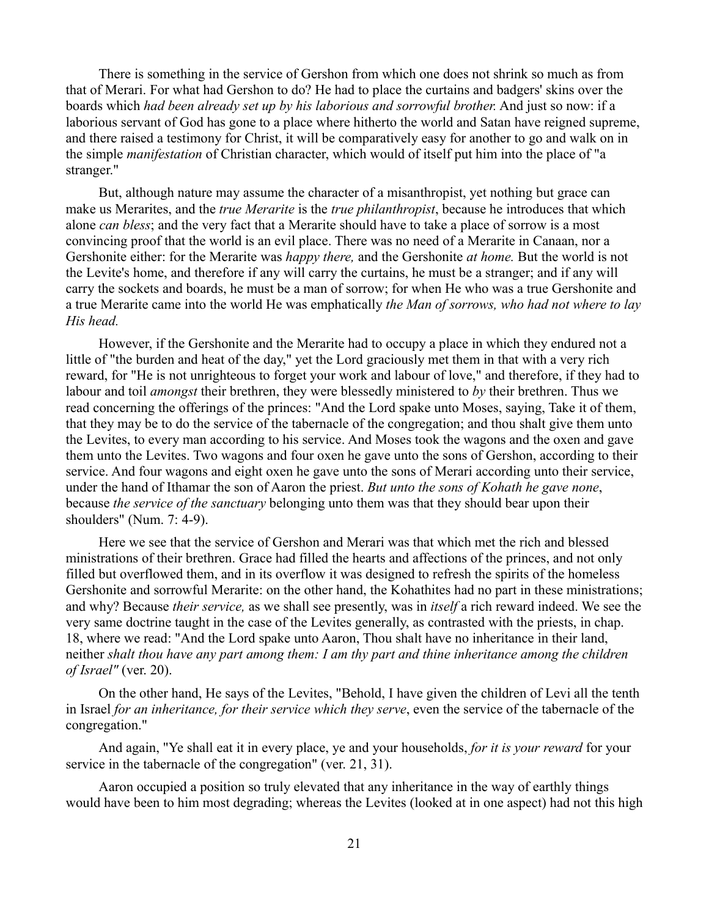There is something in the service of Gershon from which one does not shrink so much as from that of Merari. For what had Gershon to do? He had to place the curtains and badgers' skins over the boards which *had been already set up by his laborious and sorrowful brother.* And just so now: if a laborious servant of God has gone to a place where hitherto the world and Satan have reigned supreme, and there raised a testimony for Christ, it will be comparatively easy for another to go and walk on in the simple *manifestation* of Christian character, which would of itself put him into the place of "a stranger."

But, although nature may assume the character of a misanthropist, yet nothing but grace can make us Merarites, and the *true Merarite* is the *true philanthropist*, because he introduces that which alone *can bless*; and the very fact that a Merarite should have to take a place of sorrow is a most convincing proof that the world is an evil place. There was no need of a Merarite in Canaan, nor a Gershonite either: for the Merarite was *happy there,* and the Gershonite *at home.* But the world is not the Levite's home, and therefore if any will carry the curtains, he must be a stranger; and if any will carry the sockets and boards, he must be a man of sorrow; for when He who was a true Gershonite and a true Merarite came into the world He was emphatically *the Man of sorrows, who had not where to lay His head.* 

However, if the Gershonite and the Merarite had to occupy a place in which they endured not a little of "the burden and heat of the day," yet the Lord graciously met them in that with a very rich reward, for "He is not unrighteous to forget your work and labour of love," and therefore, if they had to labour and toil *amongst* their brethren, they were blessedly ministered to *by* their brethren. Thus we read concerning the offerings of the princes: "And the Lord spake unto Moses, saying, Take it of them, that they may be to do the service of the tabernacle of the congregation; and thou shalt give them unto the Levites, to every man according to his service. And Moses took the wagons and the oxen and gave them unto the Levites. Two wagons and four oxen he gave unto the sons of Gershon, according to their service. And four wagons and eight oxen he gave unto the sons of Merari according unto their service, under the hand of Ithamar the son of Aaron the priest. *But unto the sons of Kohath he gave none*, because *the service of the sanctuary* belonging unto them was that they should bear upon their shoulders" (Num. 7: 4-9).

Here we see that the service of Gershon and Merari was that which met the rich and blessed ministrations of their brethren. Grace had filled the hearts and affections of the princes, and not only filled but overflowed them, and in its overflow it was designed to refresh the spirits of the homeless Gershonite and sorrowful Merarite: on the other hand, the Kohathites had no part in these ministrations; and why? Because *their service,* as we shall see presently, was in *itself* a rich reward indeed. We see the very same doctrine taught in the case of the Levites generally, as contrasted with the priests, in chap. 18, where we read: "And the Lord spake unto Aaron, Thou shalt have no inheritance in their land, neither *shalt thou have any part among them: I am thy part and thine inheritance among the children of Israel"* (ver. 20).

On the other hand, He says of the Levites, "Behold, I have given the children of Levi all the tenth in Israel *for an inheritance, for their service which they serve*, even the service of the tabernacle of the congregation."

And again, "Ye shall eat it in every place, ye and your households, *for it is your reward* for your service in the tabernacle of the congregation" (ver. 21, 31).

Aaron occupied a position so truly elevated that any inheritance in the way of earthly things would have been to him most degrading; whereas the Levites (looked at in one aspect) had not this high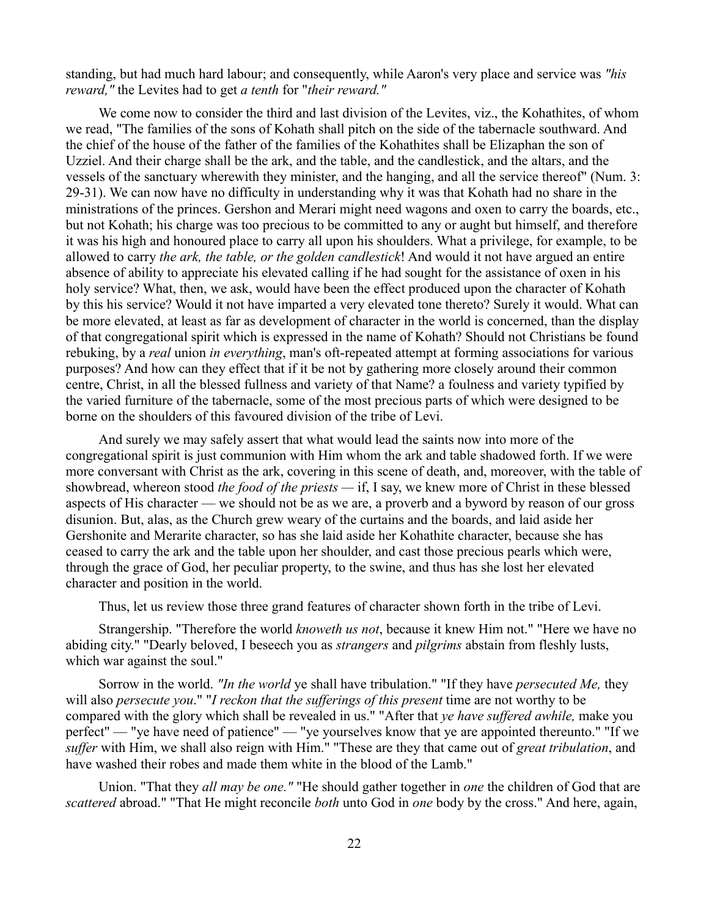standing, but had much hard labour; and consequently, while Aaron's very place and service was *"his reward,"* the Levites had to get *a tenth* for "*their reward."* 

We come now to consider the third and last division of the Levites, viz., the Kohathites, of whom we read, "The families of the sons of Kohath shall pitch on the side of the tabernacle southward. And the chief of the house of the father of the families of the Kohathites shall be Elizaphan the son of Uzziel. And their charge shall be the ark, and the table, and the candlestick, and the altars, and the vessels of the sanctuary wherewith they minister, and the hanging, and all the service thereof" (Num. 3: 29-31). We can now have no difficulty in understanding why it was that Kohath had no share in the ministrations of the princes. Gershon and Merari might need wagons and oxen to carry the boards, etc., but not Kohath; his charge was too precious to be committed to any or aught but himself, and therefore it was his high and honoured place to carry all upon his shoulders. What a privilege, for example, to be allowed to carry *the ark, the table, or the golden candlestick*! And would it not have argued an entire absence of ability to appreciate his elevated calling if he had sought for the assistance of oxen in his holy service? What, then, we ask, would have been the effect produced upon the character of Kohath by this his service? Would it not have imparted a very elevated tone thereto? Surely it would. What can be more elevated, at least as far as development of character in the world is concerned, than the display of that congregational spirit which is expressed in the name of Kohath? Should not Christians be found rebuking, by a *real* union *in everything*, man's oft-repeated attempt at forming associations for various purposes? And how can they effect that if it be not by gathering more closely around their common centre, Christ, in all the blessed fullness and variety of that Name? a foulness and variety typified by the varied furniture of the tabernacle, some of the most precious parts of which were designed to be borne on the shoulders of this favoured division of the tribe of Levi.

And surely we may safely assert that what would lead the saints now into more of the congregational spirit is just communion with Him whom the ark and table shadowed forth. If we were more conversant with Christ as the ark, covering in this scene of death, and, moreover, with the table of showbread, whereon stood *the food of the priests —* if, I say, we knew more of Christ in these blessed aspects of His character — we should not be as we are, a proverb and a byword by reason of our gross disunion. But, alas, as the Church grew weary of the curtains and the boards, and laid aside her Gershonite and Merarite character, so has she laid aside her Kohathite character, because she has ceased to carry the ark and the table upon her shoulder, and cast those precious pearls which were, through the grace of God, her peculiar property, to the swine, and thus has she lost her elevated character and position in the world.

Thus, let us review those three grand features of character shown forth in the tribe of Levi.

Strangership. "Therefore the world *knoweth us not*, because it knew Him not." "Here we have no abiding city." "Dearly beloved, I beseech you as *strangers* and *pilgrims* abstain from fleshly lusts, which war against the soul."

Sorrow in the world. *"In the world* ye shall have tribulation." "If they have *persecuted Me,* they will also *persecute you*." "*I reckon that the sufferings of this present* time are not worthy to be compared with the glory which shall be revealed in us." "After that *ye have suffered awhile,* make you perfect" — "ye have need of patience" — "ye yourselves know that ye are appointed thereunto." "If we *suffer* with Him, we shall also reign with Him." "These are they that came out of *great tribulation*, and have washed their robes and made them white in the blood of the Lamb."

Union. "That they *all may be one."* "He should gather together in *one* the children of God that are *scattered* abroad." "That He might reconcile *both* unto God in *one* body by the cross." And here, again,